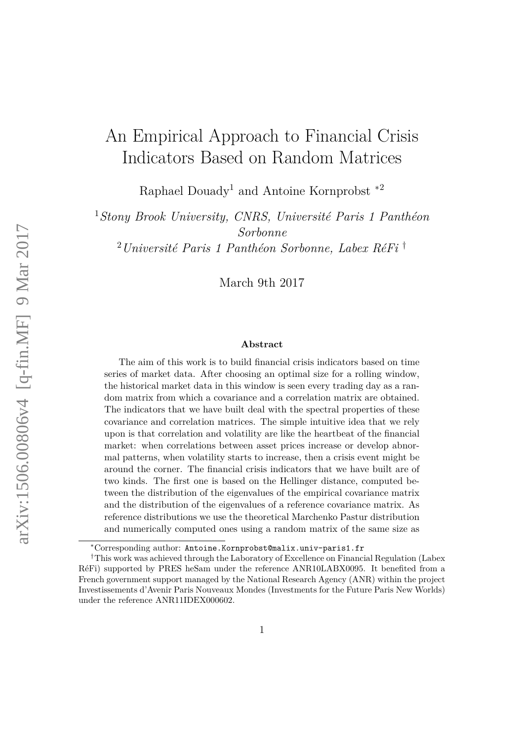# <span id="page-0-0"></span>An Empirical Approach to Financial Crisis Indicators Based on Random Matrices

Raphael Douady<sup>1</sup> and Antoine Kornprobst ∗2

<sup>1</sup>*Stony Brook University, CNRS, Université Paris 1 Panthéon Sorbonne*

<sup>2</sup>*Université Paris 1 Panthéon Sorbonne, Labex RéFi* †

March 9th 2017

#### **Abstract**

The aim of this work is to build financial crisis indicators based on time series of market data. After choosing an optimal size for a rolling window, the historical market data in this window is seen every trading day as a random matrix from which a covariance and a correlation matrix are obtained. The indicators that we have built deal with the spectral properties of these covariance and correlation matrices. The simple intuitive idea that we rely upon is that correlation and volatility are like the heartbeat of the financial market: when correlations between asset prices increase or develop abnormal patterns, when volatility starts to increase, then a crisis event might be around the corner. The financial crisis indicators that we have built are of two kinds. The first one is based on the Hellinger distance, computed between the distribution of the eigenvalues of the empirical covariance matrix and the distribution of the eigenvalues of a reference covariance matrix. As reference distributions we use the theoretical Marchenko Pastur distribution and numerically computed ones using a random matrix of the same size as

<sup>∗</sup>Corresponding author: Antoine.Kornprobst@malix.univ-paris1.fr

<sup>†</sup>This work was achieved through the Laboratory of Excellence on Financial Regulation (Labex RéFi) supported by PRES heSam under the reference ANR10LABX0095. It benefited from a French government support managed by the National Research Agency (ANR) within the project Investissements d'Avenir Paris Nouveaux Mondes (Investments for the Future Paris New Worlds) under the reference ANR11IDEX000602.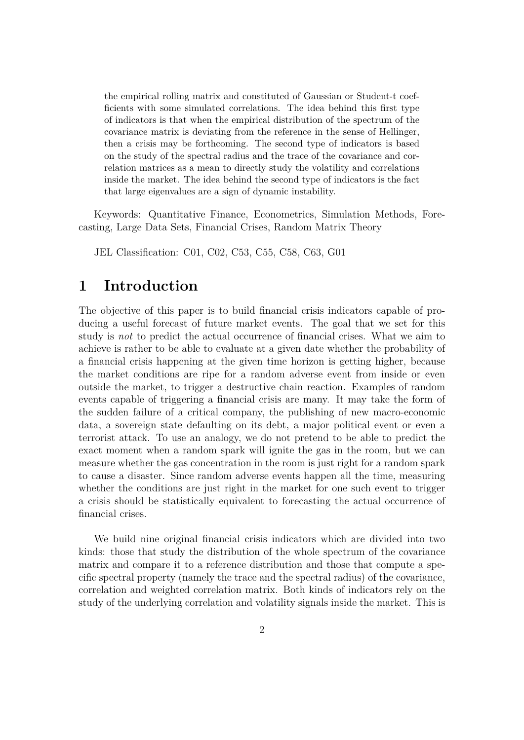the empirical rolling matrix and constituted of Gaussian or Student-t coefficients with some simulated correlations. The idea behind this first type of indicators is that when the empirical distribution of the spectrum of the covariance matrix is deviating from the reference in the sense of Hellinger, then a crisis may be forthcoming. The second type of indicators is based on the study of the spectral radius and the trace of the covariance and correlation matrices as a mean to directly study the volatility and correlations inside the market. The idea behind the second type of indicators is the fact that large eigenvalues are a sign of dynamic instability.

Keywords: Quantitative Finance, Econometrics, Simulation Methods, Forecasting, Large Data Sets, Financial Crises, Random Matrix Theory

JEL Classification: C01, C02, C53, C55, C58, C63, G01

# **1 Introduction**

The objective of this paper is to build financial crisis indicators capable of producing a useful forecast of future market events. The goal that we set for this study is *not* to predict the actual occurrence of financial crises. What we aim to achieve is rather to be able to evaluate at a given date whether the probability of a financial crisis happening at the given time horizon is getting higher, because the market conditions are ripe for a random adverse event from inside or even outside the market, to trigger a destructive chain reaction. Examples of random events capable of triggering a financial crisis are many. It may take the form of the sudden failure of a critical company, the publishing of new macro-economic data, a sovereign state defaulting on its debt, a major political event or even a terrorist attack. To use an analogy, we do not pretend to be able to predict the exact moment when a random spark will ignite the gas in the room, but we can measure whether the gas concentration in the room is just right for a random spark to cause a disaster. Since random adverse events happen all the time, measuring whether the conditions are just right in the market for one such event to trigger a crisis should be statistically equivalent to forecasting the actual occurrence of financial crises.

We build nine original financial crisis indicators which are divided into two kinds: those that study the distribution of the whole spectrum of the covariance matrix and compare it to a reference distribution and those that compute a specific spectral property (namely the trace and the spectral radius) of the covariance, correlation and weighted correlation matrix. Both kinds of indicators rely on the study of the underlying correlation and volatility signals inside the market. This is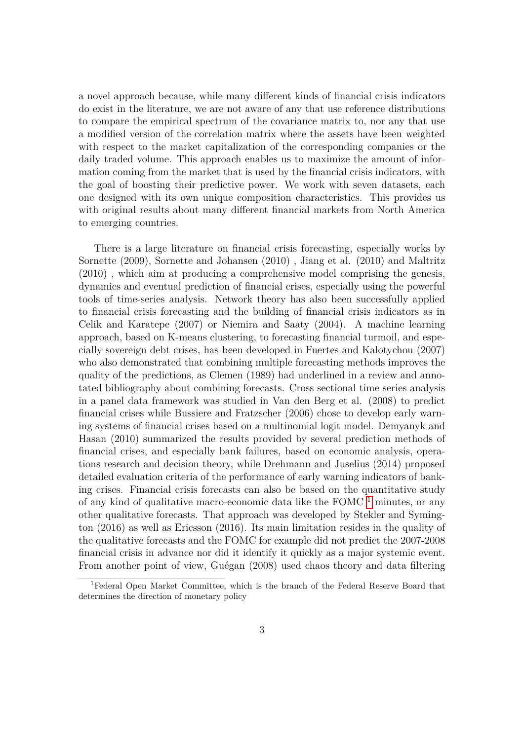a novel approach because, while many different kinds of financial crisis indicators do exist in the literature, we are not aware of any that use reference distributions to compare the empirical spectrum of the covariance matrix to, nor any that use a modified version of the correlation matrix where the assets have been weighted with respect to the market capitalization of the corresponding companies or the daily traded volume. This approach enables us to maximize the amount of information coming from the market that is used by the financial crisis indicators, with the goal of boosting their predictive power. We work with seven datasets, each one designed with its own unique composition characteristics. This provides us with original results about many different financial markets from North America to emerging countries.

There is a large literature on financial crisis forecasting, especially works by Sornette (2009), Sornette and Johansen (2010) , Jiang et al. (2010) and Maltritz (2010) , which aim at producing a comprehensive model comprising the genesis, dynamics and eventual prediction of financial crises, especially using the powerful tools of time-series analysis. Network theory has also been successfully applied to financial crisis forecasting and the building of financial crisis indicators as in Celik and Karatepe (2007) or Niemira and Saaty (2004). A machine learning approach, based on K-means clustering, to forecasting financial turmoil, and especially sovereign debt crises, has been developed in Fuertes and Kalotychou (2007) who also demonstrated that combining multiple forecasting methods improves the quality of the predictions, as Clemen (1989) had underlined in a review and annotated bibliography about combining forecasts. Cross sectional time series analysis in a panel data framework was studied in Van den Berg et al. (2008) to predict financial crises while Bussiere and Fratzscher (2006) chose to develop early warning systems of financial crises based on a multinomial logit model. Demyanyk and Hasan (2010) summarized the results provided by several prediction methods of financial crises, and especially bank failures, based on economic analysis, operations research and decision theory, while Drehmann and Juselius (2014) proposed detailed evaluation criteria of the performance of early warning indicators of banking crises. Financial crisis forecasts can also be based on the quantitative study of any kind of qualitative macro-economic data like the FOMC  $<sup>1</sup>$  $<sup>1</sup>$  $<sup>1</sup>$  minutes, or any</sup> other qualitative forecasts. That approach was developed by Stekler and Symington (2016) as well as Ericsson (2016). Its main limitation resides in the quality of the qualitative forecasts and the FOMC for example did not predict the 2007-2008 financial crisis in advance nor did it identify it quickly as a major systemic event. From another point of view, Guégan (2008) used chaos theory and data filtering

<sup>1</sup>Federal Open Market Committee, which is the branch of the Federal Reserve Board that determines the direction of monetary policy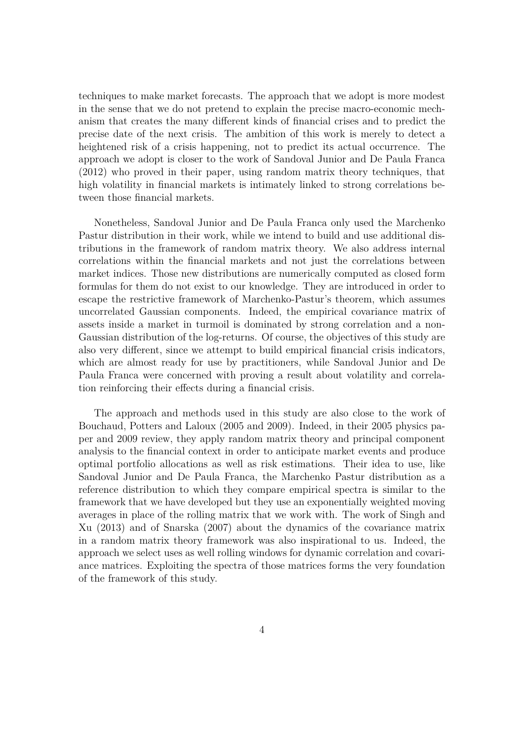techniques to make market forecasts. The approach that we adopt is more modest in the sense that we do not pretend to explain the precise macro-economic mechanism that creates the many different kinds of financial crises and to predict the precise date of the next crisis. The ambition of this work is merely to detect a heightened risk of a crisis happening, not to predict its actual occurrence. The approach we adopt is closer to the work of Sandoval Junior and De Paula Franca (2012) who proved in their paper, using random matrix theory techniques, that high volatility in financial markets is intimately linked to strong correlations between those financial markets.

Nonetheless, Sandoval Junior and De Paula Franca only used the Marchenko Pastur distribution in their work, while we intend to build and use additional distributions in the framework of random matrix theory. We also address internal correlations within the financial markets and not just the correlations between market indices. Those new distributions are numerically computed as closed form formulas for them do not exist to our knowledge. They are introduced in order to escape the restrictive framework of Marchenko-Pastur's theorem, which assumes uncorrelated Gaussian components. Indeed, the empirical covariance matrix of assets inside a market in turmoil is dominated by strong correlation and a non-Gaussian distribution of the log-returns. Of course, the objectives of this study are also very different, since we attempt to build empirical financial crisis indicators, which are almost ready for use by practitioners, while Sandoval Junior and De Paula Franca were concerned with proving a result about volatility and correlation reinforcing their effects during a financial crisis.

The approach and methods used in this study are also close to the work of Bouchaud, Potters and Laloux (2005 and 2009). Indeed, in their 2005 physics paper and 2009 review, they apply random matrix theory and principal component analysis to the financial context in order to anticipate market events and produce optimal portfolio allocations as well as risk estimations. Their idea to use, like Sandoval Junior and De Paula Franca, the Marchenko Pastur distribution as a reference distribution to which they compare empirical spectra is similar to the framework that we have developed but they use an exponentially weighted moving averages in place of the rolling matrix that we work with. The work of Singh and Xu (2013) and of Snarska (2007) about the dynamics of the covariance matrix in a random matrix theory framework was also inspirational to us. Indeed, the approach we select uses as well rolling windows for dynamic correlation and covariance matrices. Exploiting the spectra of those matrices forms the very foundation of the framework of this study.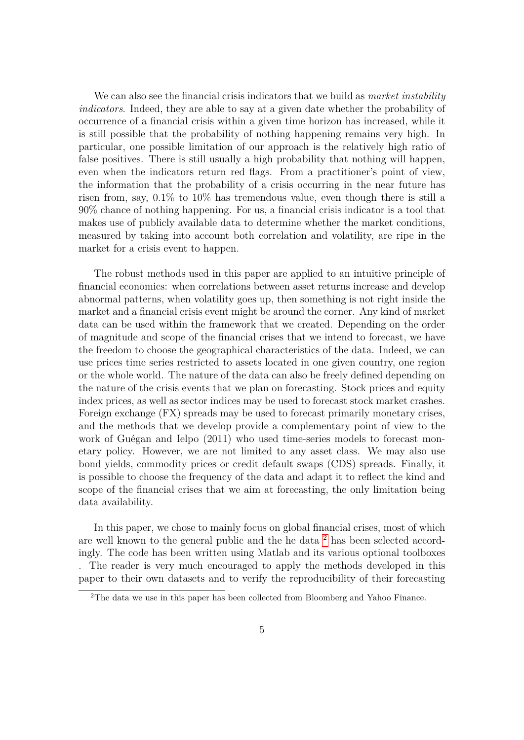We can also see the financial crisis indicators that we build as *market instability indicators*. Indeed, they are able to say at a given date whether the probability of occurrence of a financial crisis within a given time horizon has increased, while it is still possible that the probability of nothing happening remains very high. In particular, one possible limitation of our approach is the relatively high ratio of false positives. There is still usually a high probability that nothing will happen, even when the indicators return red flags. From a practitioner's point of view, the information that the probability of a crisis occurring in the near future has risen from, say, 0.1% to 10% has tremendous value, even though there is still a 90% chance of nothing happening. For us, a financial crisis indicator is a tool that makes use of publicly available data to determine whether the market conditions, measured by taking into account both correlation and volatility, are ripe in the market for a crisis event to happen.

The robust methods used in this paper are applied to an intuitive principle of financial economics: when correlations between asset returns increase and develop abnormal patterns, when volatility goes up, then something is not right inside the market and a financial crisis event might be around the corner. Any kind of market data can be used within the framework that we created. Depending on the order of magnitude and scope of the financial crises that we intend to forecast, we have the freedom to choose the geographical characteristics of the data. Indeed, we can use prices time series restricted to assets located in one given country, one region or the whole world. The nature of the data can also be freely defined depending on the nature of the crisis events that we plan on forecasting. Stock prices and equity index prices, as well as sector indices may be used to forecast stock market crashes. Foreign exchange (FX) spreads may be used to forecast primarily monetary crises, and the methods that we develop provide a complementary point of view to the work of Guégan and Ielpo (2011) who used time-series models to forecast monetary policy. However, we are not limited to any asset class. We may also use bond yields, commodity prices or credit default swaps (CDS) spreads. Finally, it is possible to choose the frequency of the data and adapt it to reflect the kind and scope of the financial crises that we aim at forecasting, the only limitation being data availability.

In this paper, we chose to mainly focus on global financial crises, most of which are well known to the general public and the he data [2](#page-0-0) has been selected accordingly. The code has been written using Matlab and its various optional toolboxes . The reader is very much encouraged to apply the methods developed in this paper to their own datasets and to verify the reproducibility of their forecasting

<sup>&</sup>lt;sup>2</sup>The data we use in this paper has been collected from Bloomberg and Yahoo Finance.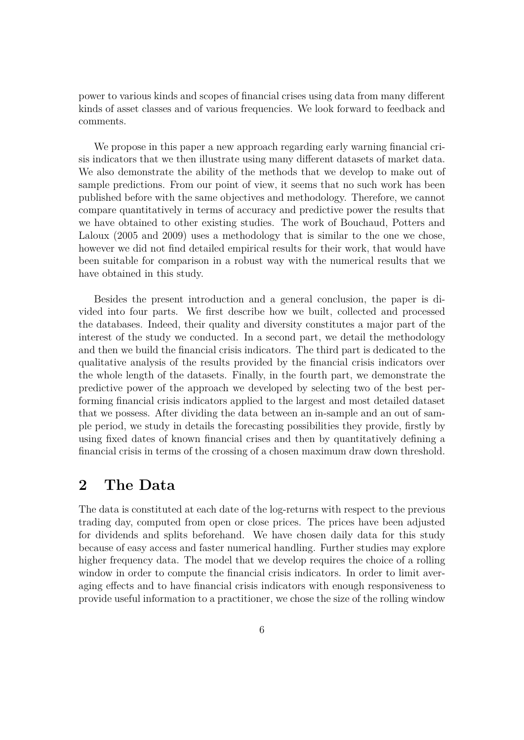power to various kinds and scopes of financial crises using data from many different kinds of asset classes and of various frequencies. We look forward to feedback and comments.

We propose in this paper a new approach regarding early warning financial crisis indicators that we then illustrate using many different datasets of market data. We also demonstrate the ability of the methods that we develop to make out of sample predictions. From our point of view, it seems that no such work has been published before with the same objectives and methodology. Therefore, we cannot compare quantitatively in terms of accuracy and predictive power the results that we have obtained to other existing studies. The work of Bouchaud, Potters and Laloux (2005 and 2009) uses a methodology that is similar to the one we chose, however we did not find detailed empirical results for their work, that would have been suitable for comparison in a robust way with the numerical results that we have obtained in this study.

Besides the present introduction and a general conclusion, the paper is divided into four parts. We first describe how we built, collected and processed the databases. Indeed, their quality and diversity constitutes a major part of the interest of the study we conducted. In a second part, we detail the methodology and then we build the financial crisis indicators. The third part is dedicated to the qualitative analysis of the results provided by the financial crisis indicators over the whole length of the datasets. Finally, in the fourth part, we demonstrate the predictive power of the approach we developed by selecting two of the best performing financial crisis indicators applied to the largest and most detailed dataset that we possess. After dividing the data between an in-sample and an out of sample period, we study in details the forecasting possibilities they provide, firstly by using fixed dates of known financial crises and then by quantitatively defining a financial crisis in terms of the crossing of a chosen maximum draw down threshold.

# **2 The Data**

The data is constituted at each date of the log-returns with respect to the previous trading day, computed from open or close prices. The prices have been adjusted for dividends and splits beforehand. We have chosen daily data for this study because of easy access and faster numerical handling. Further studies may explore higher frequency data. The model that we develop requires the choice of a rolling window in order to compute the financial crisis indicators. In order to limit averaging effects and to have financial crisis indicators with enough responsiveness to provide useful information to a practitioner, we chose the size of the rolling window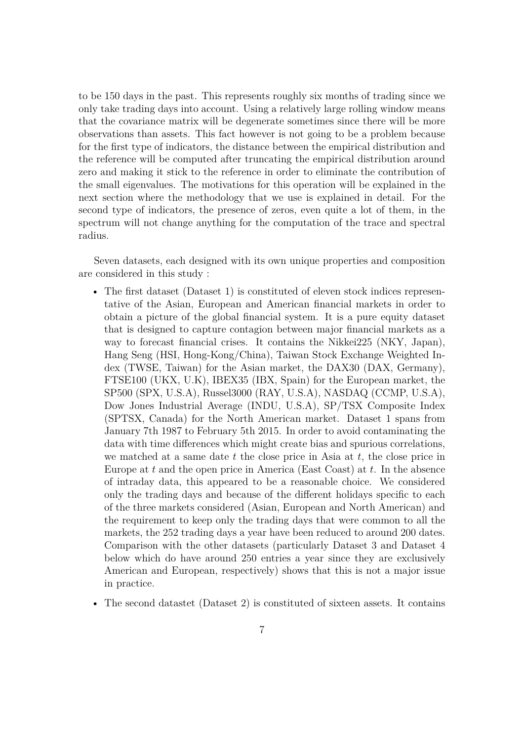to be 150 days in the past. This represents roughly six months of trading since we only take trading days into account. Using a relatively large rolling window means that the covariance matrix will be degenerate sometimes since there will be more observations than assets. This fact however is not going to be a problem because for the first type of indicators, the distance between the empirical distribution and the reference will be computed after truncating the empirical distribution around zero and making it stick to the reference in order to eliminate the contribution of the small eigenvalues. The motivations for this operation will be explained in the next section where the methodology that we use is explained in detail. For the second type of indicators, the presence of zeros, even quite a lot of them, in the spectrum will not change anything for the computation of the trace and spectral radius.

Seven datasets, each designed with its own unique properties and composition are considered in this study :

- The first dataset (Dataset 1) is constituted of eleven stock indices representative of the Asian, European and American financial markets in order to obtain a picture of the global financial system. It is a pure equity dataset that is designed to capture contagion between major financial markets as a way to forecast financial crises. It contains the Nikkei225 (NKY, Japan), Hang Seng (HSI, Hong-Kong/China), Taiwan Stock Exchange Weighted Index (TWSE, Taiwan) for the Asian market, the DAX30 (DAX, Germany), FTSE100 (UKX, U.K), IBEX35 (IBX, Spain) for the European market, the SP500 (SPX, U.S.A), Russel3000 (RAY, U.S.A), NASDAQ (CCMP, U.S.A), Dow Jones Industrial Average (INDU, U.S.A), SP/TSX Composite Index (SPTSX, Canada) for the North American market. Dataset 1 spans from January 7th 1987 to February 5th 2015. In order to avoid contaminating the data with time differences which might create bias and spurious correlations, we matched at a same date *t* the close price in Asia at *t*, the close price in Europe at *t* and the open price in America (East Coast) at *t*. In the absence of intraday data, this appeared to be a reasonable choice. We considered only the trading days and because of the different holidays specific to each of the three markets considered (Asian, European and North American) and the requirement to keep only the trading days that were common to all the markets, the 252 trading days a year have been reduced to around 200 dates. Comparison with the other datasets (particularly Dataset 3 and Dataset 4 below which do have around 250 entries a year since they are exclusively American and European, respectively) shows that this is not a major issue in practice.
- The second datastet (Dataset 2) is constituted of sixteen assets. It contains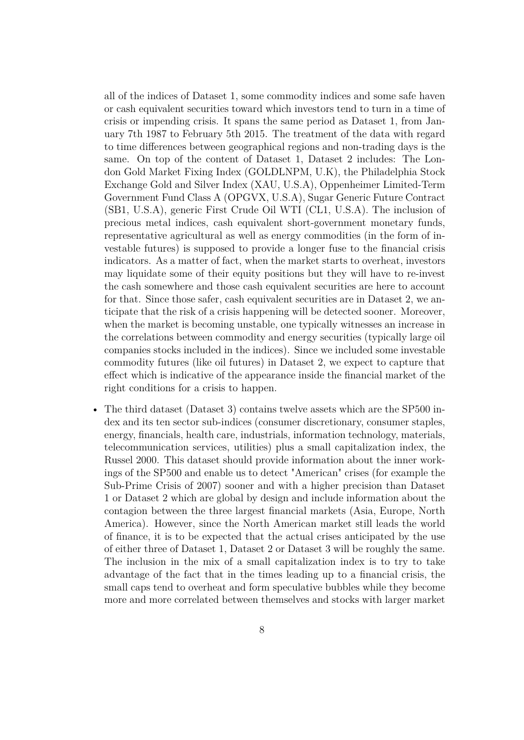all of the indices of Dataset 1, some commodity indices and some safe haven or cash equivalent securities toward which investors tend to turn in a time of crisis or impending crisis. It spans the same period as Dataset 1, from January 7th 1987 to February 5th 2015. The treatment of the data with regard to time differences between geographical regions and non-trading days is the same. On top of the content of Dataset 1, Dataset 2 includes: The London Gold Market Fixing Index (GOLDLNPM, U.K), the Philadelphia Stock Exchange Gold and Silver Index (XAU, U.S.A), Oppenheimer Limited-Term Government Fund Class A (OPGVX, U.S.A), Sugar Generic Future Contract (SB1, U.S.A), generic First Crude Oil WTI (CL1, U.S.A). The inclusion of precious metal indices, cash equivalent short-government monetary funds, representative agricultural as well as energy commodities (in the form of investable futures) is supposed to provide a longer fuse to the financial crisis indicators. As a matter of fact, when the market starts to overheat, investors may liquidate some of their equity positions but they will have to re-invest the cash somewhere and those cash equivalent securities are here to account for that. Since those safer, cash equivalent securities are in Dataset 2, we anticipate that the risk of a crisis happening will be detected sooner. Moreover, when the market is becoming unstable, one typically witnesses an increase in the correlations between commodity and energy securities (typically large oil companies stocks included in the indices). Since we included some investable commodity futures (like oil futures) in Dataset 2, we expect to capture that effect which is indicative of the appearance inside the financial market of the right conditions for a crisis to happen.

• The third dataset (Dataset 3) contains twelve assets which are the SP500 index and its ten sector sub-indices (consumer discretionary, consumer staples, energy, financials, health care, industrials, information technology, materials, telecommunication services, utilities) plus a small capitalization index, the Russel 2000. This dataset should provide information about the inner workings of the SP500 and enable us to detect "American" crises (for example the Sub-Prime Crisis of 2007) sooner and with a higher precision than Dataset 1 or Dataset 2 which are global by design and include information about the contagion between the three largest financial markets (Asia, Europe, North America). However, since the North American market still leads the world of finance, it is to be expected that the actual crises anticipated by the use of either three of Dataset 1, Dataset 2 or Dataset 3 will be roughly the same. The inclusion in the mix of a small capitalization index is to try to take advantage of the fact that in the times leading up to a financial crisis, the small caps tend to overheat and form speculative bubbles while they become more and more correlated between themselves and stocks with larger market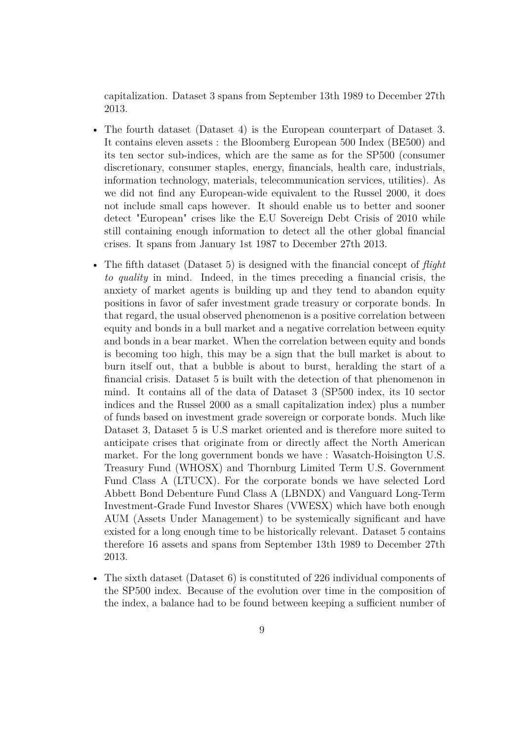capitalization. Dataset 3 spans from September 13th 1989 to December 27th 2013.

- The fourth dataset (Dataset 4) is the European counterpart of Dataset 3. It contains eleven assets : the Bloomberg European 500 Index (BE500) and its ten sector sub-indices, which are the same as for the SP500 (consumer discretionary, consumer staples, energy, financials, health care, industrials, information technology, materials, telecommunication services, utilities). As we did not find any European-wide equivalent to the Russel 2000, it does not include small caps however. It should enable us to better and sooner detect "European" crises like the E.U Sovereign Debt Crisis of 2010 while still containing enough information to detect all the other global financial crises. It spans from January 1st 1987 to December 27th 2013.
- The fifth dataset (Dataset 5) is designed with the financial concept of *flight to quality* in mind. Indeed, in the times preceding a financial crisis, the anxiety of market agents is building up and they tend to abandon equity positions in favor of safer investment grade treasury or corporate bonds. In that regard, the usual observed phenomenon is a positive correlation between equity and bonds in a bull market and a negative correlation between equity and bonds in a bear market. When the correlation between equity and bonds is becoming too high, this may be a sign that the bull market is about to burn itself out, that a bubble is about to burst, heralding the start of a financial crisis. Dataset 5 is built with the detection of that phenomenon in mind. It contains all of the data of Dataset 3 (SP500 index, its 10 sector indices and the Russel 2000 as a small capitalization index) plus a number of funds based on investment grade sovereign or corporate bonds. Much like Dataset 3, Dataset 5 is U.S market oriented and is therefore more suited to anticipate crises that originate from or directly affect the North American market. For the long government bonds we have : Wasatch-Hoisington U.S. Treasury Fund (WHOSX) and Thornburg Limited Term U.S. Government Fund Class A (LTUCX). For the corporate bonds we have selected Lord Abbett Bond Debenture Fund Class A (LBNDX) and Vanguard Long-Term Investment-Grade Fund Investor Shares (VWESX) which have both enough AUM (Assets Under Management) to be systemically significant and have existed for a long enough time to be historically relevant. Dataset 5 contains therefore 16 assets and spans from September 13th 1989 to December 27th 2013.
- The sixth dataset (Dataset 6) is constituted of 226 individual components of the SP500 index. Because of the evolution over time in the composition of the index, a balance had to be found between keeping a sufficient number of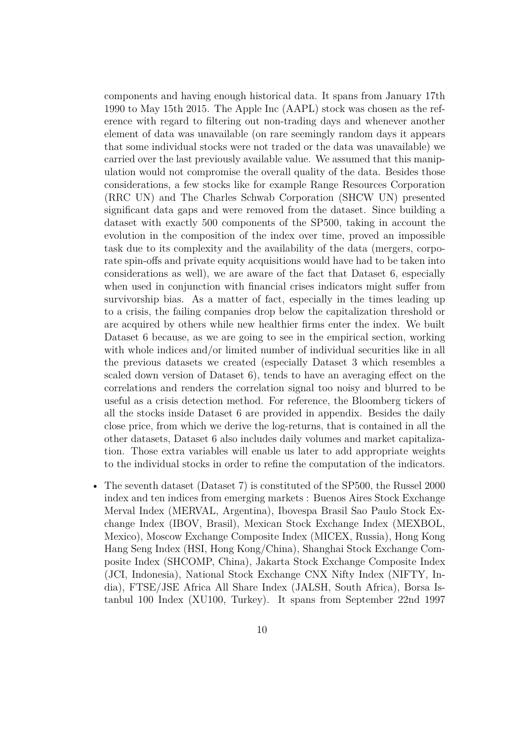components and having enough historical data. It spans from January 17th 1990 to May 15th 2015. The Apple Inc (AAPL) stock was chosen as the reference with regard to filtering out non-trading days and whenever another element of data was unavailable (on rare seemingly random days it appears that some individual stocks were not traded or the data was unavailable) we carried over the last previously available value. We assumed that this manipulation would not compromise the overall quality of the data. Besides those considerations, a few stocks like for example Range Resources Corporation (RRC UN) and The Charles Schwab Corporation (SHCW UN) presented significant data gaps and were removed from the dataset. Since building a dataset with exactly 500 components of the SP500, taking in account the evolution in the composition of the index over time, proved an impossible task due to its complexity and the availability of the data (mergers, corporate spin-offs and private equity acquisitions would have had to be taken into considerations as well), we are aware of the fact that Dataset 6, especially when used in conjunction with financial crises indicators might suffer from survivorship bias. As a matter of fact, especially in the times leading up to a crisis, the failing companies drop below the capitalization threshold or are acquired by others while new healthier firms enter the index. We built Dataset 6 because, as we are going to see in the empirical section, working with whole indices and/or limited number of individual securities like in all the previous datasets we created (especially Dataset 3 which resembles a scaled down version of Dataset 6), tends to have an averaging effect on the correlations and renders the correlation signal too noisy and blurred to be useful as a crisis detection method. For reference, the Bloomberg tickers of all the stocks inside Dataset 6 are provided in appendix. Besides the daily close price, from which we derive the log-returns, that is contained in all the other datasets, Dataset 6 also includes daily volumes and market capitalization. Those extra variables will enable us later to add appropriate weights to the individual stocks in order to refine the computation of the indicators.

• The seventh dataset (Dataset 7) is constituted of the SP500, the Russel 2000 index and ten indices from emerging markets : Buenos Aires Stock Exchange Merval Index (MERVAL, Argentina), Ibovespa Brasil Sao Paulo Stock Exchange Index (IBOV, Brasil), Mexican Stock Exchange Index (MEXBOL, Mexico), Moscow Exchange Composite Index (MICEX, Russia), Hong Kong Hang Seng Index (HSI, Hong Kong/China), Shanghai Stock Exchange Composite Index (SHCOMP, China), Jakarta Stock Exchange Composite Index (JCI, Indonesia), National Stock Exchange CNX Nifty Index (NIFTY, India), FTSE/JSE Africa All Share Index (JALSH, South Africa), Borsa Istanbul 100 Index (XU100, Turkey). It spans from September 22nd 1997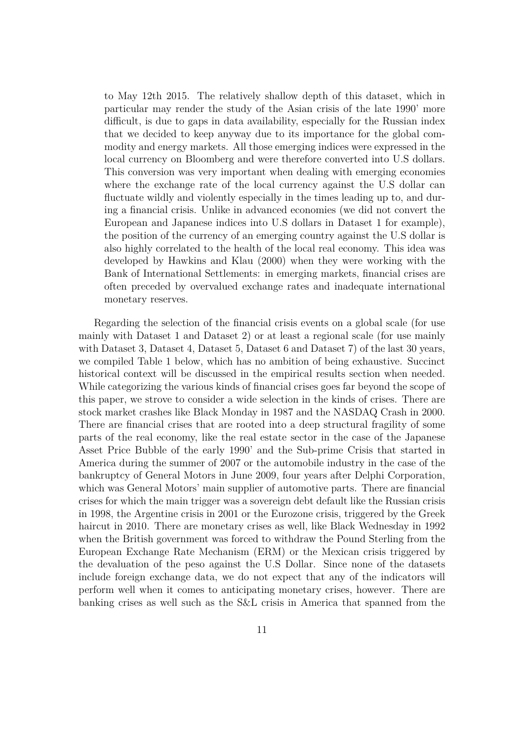to May 12th 2015. The relatively shallow depth of this dataset, which in particular may render the study of the Asian crisis of the late 1990' more difficult, is due to gaps in data availability, especially for the Russian index that we decided to keep anyway due to its importance for the global commodity and energy markets. All those emerging indices were expressed in the local currency on Bloomberg and were therefore converted into U.S dollars. This conversion was very important when dealing with emerging economies where the exchange rate of the local currency against the U.S dollar can fluctuate wildly and violently especially in the times leading up to, and during a financial crisis. Unlike in advanced economies (we did not convert the European and Japanese indices into U.S dollars in Dataset 1 for example), the position of the currency of an emerging country against the U.S dollar is also highly correlated to the health of the local real economy. This idea was developed by Hawkins and Klau (2000) when they were working with the Bank of International Settlements: in emerging markets, financial crises are often preceded by overvalued exchange rates and inadequate international monetary reserves.

Regarding the selection of the financial crisis events on a global scale (for use mainly with Dataset 1 and Dataset 2) or at least a regional scale (for use mainly with Dataset 3, Dataset 4, Dataset 5, Dataset 6 and Dataset 7) of the last 30 years, we compiled Table 1 below, which has no ambition of being exhaustive. Succinct historical context will be discussed in the empirical results section when needed. While categorizing the various kinds of financial crises goes far beyond the scope of this paper, we strove to consider a wide selection in the kinds of crises. There are stock market crashes like Black Monday in 1987 and the NASDAQ Crash in 2000. There are financial crises that are rooted into a deep structural fragility of some parts of the real economy, like the real estate sector in the case of the Japanese Asset Price Bubble of the early 1990' and the Sub-prime Crisis that started in America during the summer of 2007 or the automobile industry in the case of the bankruptcy of General Motors in June 2009, four years after Delphi Corporation, which was General Motors' main supplier of automotive parts. There are financial crises for which the main trigger was a sovereign debt default like the Russian crisis in 1998, the Argentine crisis in 2001 or the Eurozone crisis, triggered by the Greek haircut in 2010. There are monetary crises as well, like Black Wednesday in 1992 when the British government was forced to withdraw the Pound Sterling from the European Exchange Rate Mechanism (ERM) or the Mexican crisis triggered by the devaluation of the peso against the U.S Dollar. Since none of the datasets include foreign exchange data, we do not expect that any of the indicators will perform well when it comes to anticipating monetary crises, however. There are banking crises as well such as the S&L crisis in America that spanned from the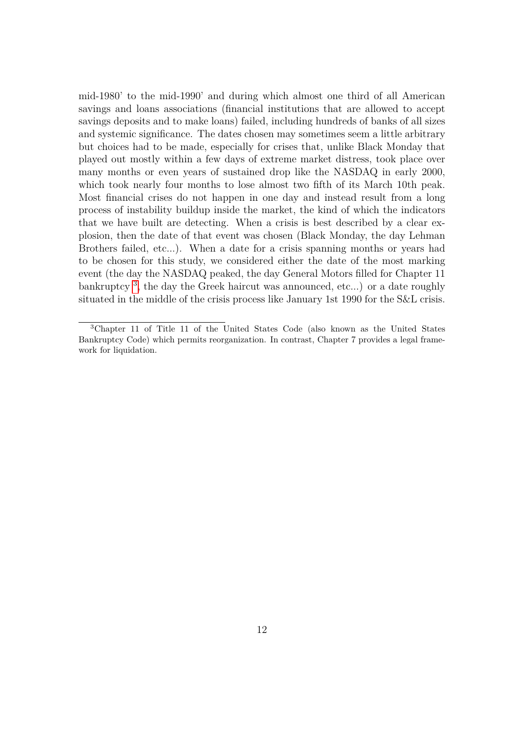mid-1980' to the mid-1990' and during which almost one third of all American savings and loans associations (financial institutions that are allowed to accept savings deposits and to make loans) failed, including hundreds of banks of all sizes and systemic significance. The dates chosen may sometimes seem a little arbitrary but choices had to be made, especially for crises that, unlike Black Monday that played out mostly within a few days of extreme market distress, took place over many months or even years of sustained drop like the NASDAQ in early 2000, which took nearly four months to lose almost two fifth of its March 10th peak. Most financial crises do not happen in one day and instead result from a long process of instability buildup inside the market, the kind of which the indicators that we have built are detecting. When a crisis is best described by a clear explosion, then the date of that event was chosen (Black Monday, the day Lehman Brothers failed, etc...). When a date for a crisis spanning months or years had to be chosen for this study, we considered either the date of the most marking event (the day the NASDAQ peaked, the day General Motors filled for Chapter 11 bankruptcy [3](#page-0-0) , the day the Greek haircut was announced, etc...) or a date roughly situated in the middle of the crisis process like January 1st 1990 for the S&L crisis.

<sup>3</sup>Chapter 11 of Title 11 of the United States Code (also known as the United States Bankruptcy Code) which permits reorganization. In contrast, Chapter 7 provides a legal framework for liquidation.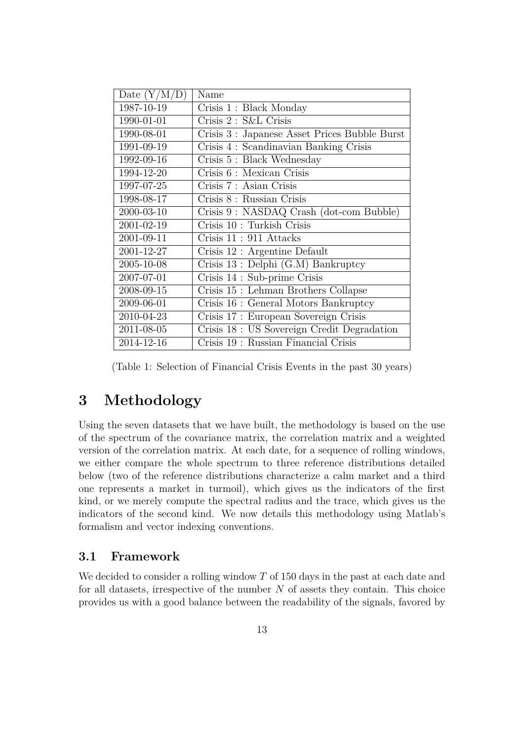| Date $(Y/M/D)$ | Name                                          |
|----------------|-----------------------------------------------|
| 1987-10-19     | Crisis 1: Black Monday                        |
| 1990-01-01     | Crisis 2 : S&L Crisis                         |
| 1990-08-01     | Crisis 3 : Japanese Asset Prices Bubble Burst |
| 1991-09-19     | Crisis 4 : Scandinavian Banking Crisis        |
| 1992-09-16     | Crisis 5: Black Wednesday                     |
| 1994-12-20     | Crisis 6 : Mexican Crisis                     |
| 1997-07-25     | Crisis 7 : Asian Crisis                       |
| 1998-08-17     | Crisis 8 : Russian Crisis                     |
| 2000-03-10     | Crisis 9: NASDAQ Crash (dot-com Bubble)       |
| 2001-02-19     | Crisis 10 : Turkish Crisis                    |
| 2001-09-11     | Crisis 11: 911 Attacks                        |
| 2001-12-27     | Crisis 12 : Argentine Default                 |
| 2005-10-08     | Crisis 13 : Delphi (G.M) Bankruptcy           |
| 2007-07-01     | Crisis 14 : Sub-prime Crisis                  |
| 2008-09-15     | Crisis 15 : Lehman Brothers Collapse          |
| 2009-06-01     | Crisis 16 : General Motors Bankruptcy         |
| 2010-04-23     | Crisis 17 : European Sovereign Crisis         |
| 2011-08-05     | Crisis 18 : US Sovereign Credit Degradation   |
| 2014-12-16     | Crisis 19 : Russian Financial Crisis          |

(Table 1: Selection of Financial Crisis Events in the past 30 years)

# **3 Methodology**

Using the seven datasets that we have built, the methodology is based on the use of the spectrum of the covariance matrix, the correlation matrix and a weighted version of the correlation matrix. At each date, for a sequence of rolling windows, we either compare the whole spectrum to three reference distributions detailed below (two of the reference distributions characterize a calm market and a third one represents a market in turmoil), which gives us the indicators of the first kind, or we merely compute the spectral radius and the trace, which gives us the indicators of the second kind. We now details this methodology using Matlab's formalism and vector indexing conventions.

### **3.1 Framework**

We decided to consider a rolling window *T* of 150 days in the past at each date and for all datasets, irrespective of the number *N* of assets they contain. This choice provides us with a good balance between the readability of the signals, favored by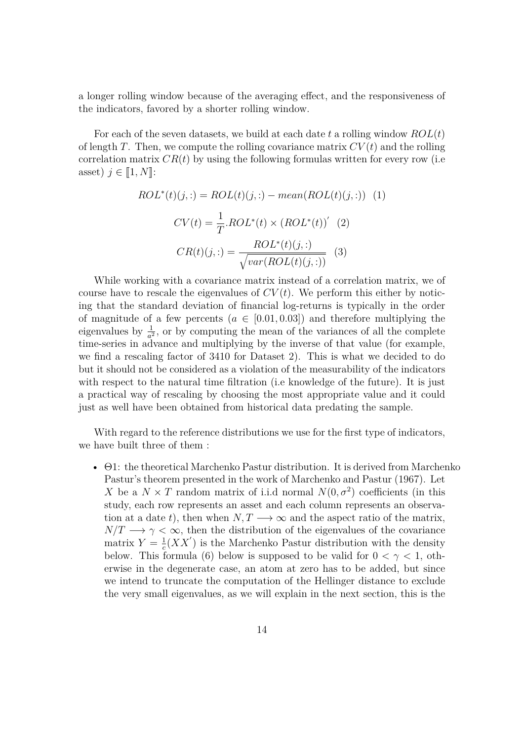a longer rolling window because of the averaging effect, and the responsiveness of the indicators, favored by a shorter rolling window.

For each of the seven datasets, we build at each date *t* a rolling window *ROL*(*t*) of length *T*. Then, we compute the rolling covariance matrix  $CV(t)$  and the rolling correlation matrix  $CR(t)$  by using the following formulas written for every row (i.e. asset)  $j \in [1, N]$ :

$$
ROL^*(t)(j,:) = ROL(t)(j,:) - mean(ROL(t)(j,:))
$$
 (1)  

$$
CV(t) = \frac{1}{T}.ROL^*(t) \times (ROL^*(t))'
$$
 (2)  

$$
CR(t)(j,:) = \frac{ROL^*(t)(j,:)}{\sqrt{var(ROL(t)(j,:))}}
$$
 (3)

While working with a covariance matrix instead of a correlation matrix, we of course have to rescale the eigenvalues of  $CV(t)$ . We perform this either by noticing that the standard deviation of financial log-returns is typically in the order of magnitude of a few percents  $(a \in [0.01, 0.03])$  and therefore multiplying the eigenvalues by  $\frac{1}{a^2}$ , or by computing the mean of the variances of all the complete time-series in advance and multiplying by the inverse of that value (for example, we find a rescaling factor of 3410 for Dataset 2). This is what we decided to do but it should not be considered as a violation of the measurability of the indicators with respect to the natural time filtration (i.e knowledge of the future). It is just a practical way of rescaling by choosing the most appropriate value and it could just as well have been obtained from historical data predating the sample.

With regard to the reference distributions we use for the first type of indicators, we have built three of them :

• Θ1: the theoretical Marchenko Pastur distribution. It is derived from Marchenko Pastur's theorem presented in the work of Marchenko and Pastur (1967). Let *X* be a  $N \times T$  random matrix of i.i.d normal  $N(0, \sigma^2)$  coefficients (in this study, each row represents an asset and each column represents an observation at a date *t*), then when  $N, T \longrightarrow \infty$  and the aspect ratio of the matrix,  $N/T \longrightarrow \gamma < \infty$ , then the distribution of the eigenvalues of the covariance matrix  $Y = \frac{1}{c}$  $\frac{1}{c}(XX')$  is the Marchenko Pastur distribution with the density below. This formula (6) below is supposed to be valid for  $0 < \gamma < 1$ , otherwise in the degenerate case, an atom at zero has to be added, but since we intend to truncate the computation of the Hellinger distance to exclude the very small eigenvalues, as we will explain in the next section, this is the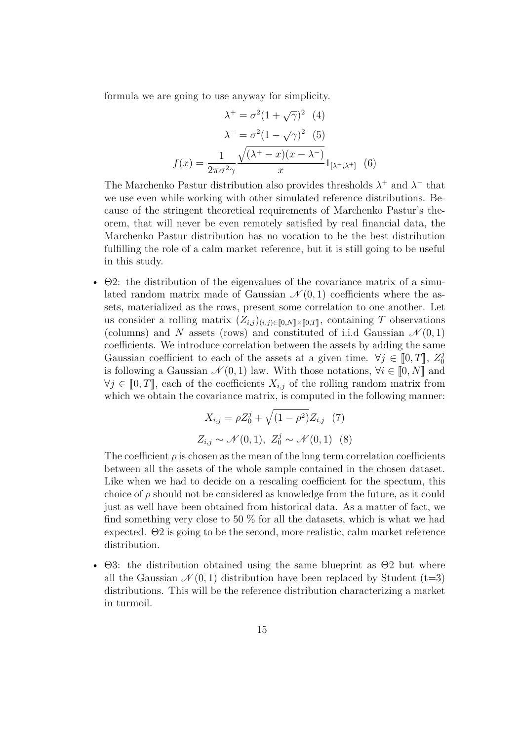formula we are going to use anyway for simplicity.

$$
\lambda^+ = \sigma^2 (1 + \sqrt{\gamma})^2 \quad (4)
$$

$$
\lambda^- = \sigma^2 (1 - \sqrt{\gamma})^2 \quad (5)
$$

$$
f(x) = \frac{1}{2\pi\sigma^2\gamma} \frac{\sqrt{(\lambda^+ - x)(x - \lambda^-)}}{x} 1_{[\lambda^-, \lambda^+]} \quad (6)
$$

The Marchenko Pastur distribution also provides thresholds  $\lambda^+$  and  $\lambda^-$  that we use even while working with other simulated reference distributions. Because of the stringent theoretical requirements of Marchenko Pastur's theorem, that will never be even remotely satisfied by real financial data, the Marchenko Pastur distribution has no vocation to be the best distribution fulfilling the role of a calm market reference, but it is still going to be useful in this study.

• Θ2: the distribution of the eigenvalues of the covariance matrix of a simulated random matrix made of Gaussian  $\mathcal{N}(0,1)$  coefficients where the assets, materialized as the rows, present some correlation to one another. Let us consider a rolling matrix  $(Z_{i,j})_{(i,j)\in[0,N]\times[0,T]}$ , containing *T* observations (columns) and *N* assets (rows) and constituted of i.i.d Gaussian  $\mathcal{N}(0,1)$ coefficients. We introduce correlation between the assets by adding the same Gaussian coefficient to each of the assets at a given time.  $\forall j \in [0, T], Z_0^j$ <br>is following a Gaussian  $\mathcal{N}(0, 1)$  law. With those potations  $\forall i \in [0, N]$  and 0 is following a Gaussian  $\mathcal{N}(0,1)$  law. With those notations,  $\forall i \in [0,N]$  and  $∀j ∈ [0, T],$  each of the coefficients  $X_{i,j}$  of the rolling random matrix from which we obtain the covariance matrix, is computed in the following manner:

$$
X_{i,j} = \rho Z_0^j + \sqrt{(1 - \rho^2)} Z_{i,j} \quad (7)
$$
  

$$
Z_{i,j} \sim \mathcal{N}(0, 1), \ Z_0^j \sim \mathcal{N}(0, 1) \quad (8)
$$

The coefficient  $\rho$  is chosen as the mean of the long term correlation coefficients between all the assets of the whole sample contained in the chosen dataset. Like when we had to decide on a rescaling coefficient for the spectum, this choice of  $\rho$  should not be considered as knowledge from the future, as it could just as well have been obtained from historical data. As a matter of fact, we find something very close to 50  $\%$  for all the datasets, which is what we had expected. Θ2 is going to be the second, more realistic, calm market reference distribution.

•  $\Theta$ 3: the distribution obtained using the same blueprint as  $\Theta$ 2 but where all the Gaussian  $\mathcal{N}(0,1)$  distribution have been replaced by Student (t=3) distributions. This will be the reference distribution characterizing a market in turmoil.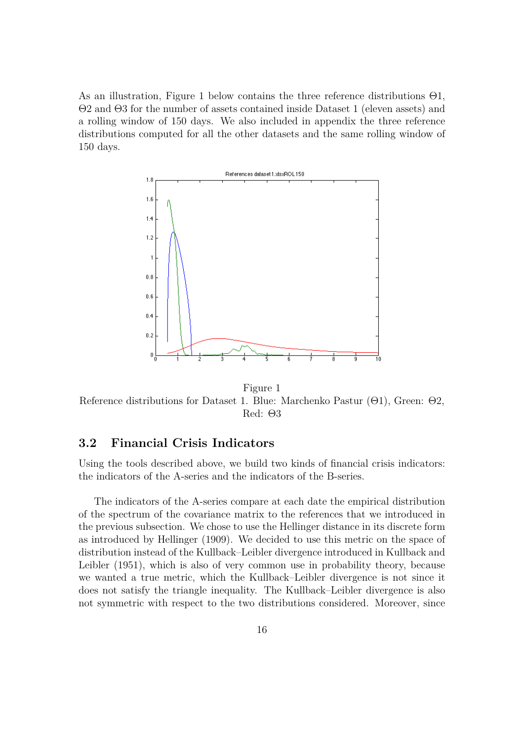As an illustration, Figure 1 below contains the three reference distributions Θ1, Θ2 and Θ3 for the number of assets contained inside Dataset 1 (eleven assets) and a rolling window of 150 days. We also included in appendix the three reference distributions computed for all the other datasets and the same rolling window of 150 days.



Figure 1 Reference distributions for Dataset 1. Blue: Marchenko Pastur (Θ1), Green: Θ2, Red: Θ3

### **3.2 Financial Crisis Indicators**

Using the tools described above, we build two kinds of financial crisis indicators: the indicators of the A-series and the indicators of the B-series.

The indicators of the A-series compare at each date the empirical distribution of the spectrum of the covariance matrix to the references that we introduced in the previous subsection. We chose to use the Hellinger distance in its discrete form as introduced by Hellinger (1909). We decided to use this metric on the space of distribution instead of the Kullback–Leibler divergence introduced in Kullback and Leibler (1951), which is also of very common use in probability theory, because we wanted a true metric, which the Kullback–Leibler divergence is not since it does not satisfy the triangle inequality. The Kullback–Leibler divergence is also not symmetric with respect to the two distributions considered. Moreover, since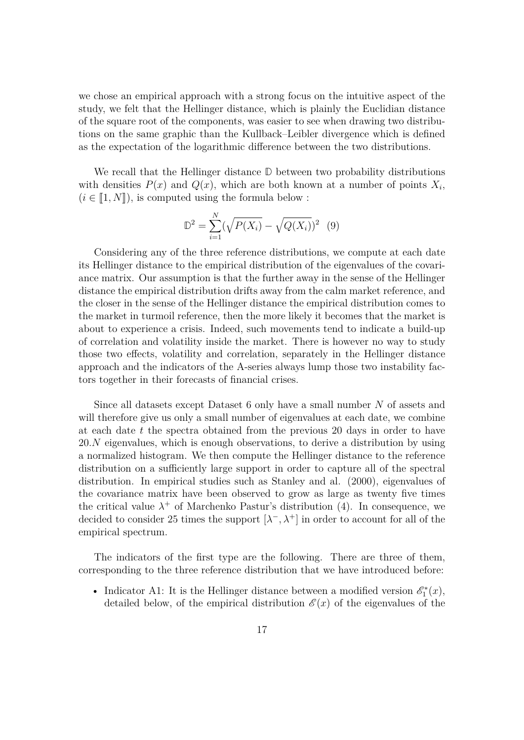we chose an empirical approach with a strong focus on the intuitive aspect of the study, we felt that the Hellinger distance, which is plainly the Euclidian distance of the square root of the components, was easier to see when drawing two distributions on the same graphic than the Kullback–Leibler divergence which is defined as the expectation of the logarithmic difference between the two distributions.

We recall that the Hellinger distance **D** between two probability distributions with densities  $P(x)$  and  $Q(x)$ , which are both known at a number of points  $X_i$ ,  $(i \in [1, N])$ , is computed using the formula below :

$$
\mathbb{D}^2 = \sum_{i=1}^N (\sqrt{P(X_i)} - \sqrt{Q(X_i)})^2 \tag{9}
$$

Considering any of the three reference distributions, we compute at each date its Hellinger distance to the empirical distribution of the eigenvalues of the covariance matrix. Our assumption is that the further away in the sense of the Hellinger distance the empirical distribution drifts away from the calm market reference, and the closer in the sense of the Hellinger distance the empirical distribution comes to the market in turmoil reference, then the more likely it becomes that the market is about to experience a crisis. Indeed, such movements tend to indicate a build-up of correlation and volatility inside the market. There is however no way to study those two effects, volatility and correlation, separately in the Hellinger distance approach and the indicators of the A-series always lump those two instability factors together in their forecasts of financial crises.

Since all datasets except Dataset 6 only have a small number *N* of assets and will therefore give us only a small number of eigenvalues at each date, we combine at each date *t* the spectra obtained from the previous 20 days in order to have 20*.N* eigenvalues, which is enough observations, to derive a distribution by using a normalized histogram. We then compute the Hellinger distance to the reference distribution on a sufficiently large support in order to capture all of the spectral distribution. In empirical studies such as Stanley and al. (2000), eigenvalues of the covariance matrix have been observed to grow as large as twenty five times the critical value  $\lambda^+$  of Marchenko Pastur's distribution (4). In consequence, we decided to consider 25 times the support  $[\lambda^-, \lambda^+]$  in order to account for all of the empirical spectrum.

The indicators of the first type are the following. There are three of them, corresponding to the three reference distribution that we have introduced before:

• Indicator A1: It is the Hellinger distance between a modified version  $\mathscr{E}_1^*(x)$ , detailed below, of the empirical distribution  $\mathscr{E}(x)$  of the eigenvalues of the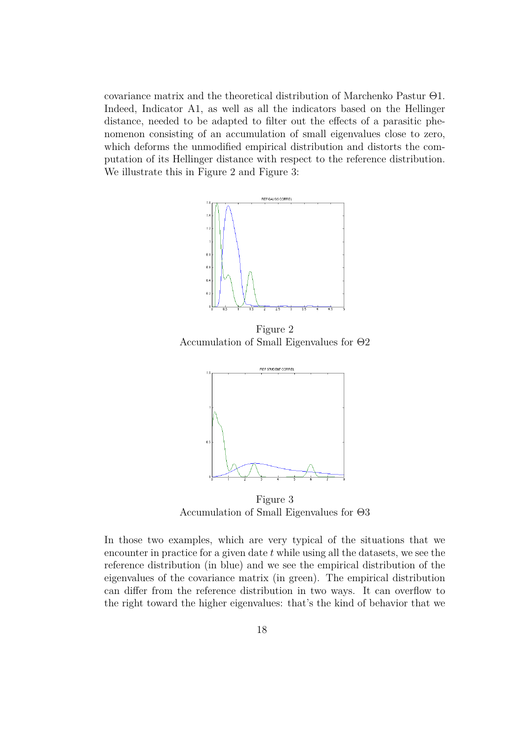covariance matrix and the theoretical distribution of Marchenko Pastur Θ1. Indeed, Indicator A1, as well as all the indicators based on the Hellinger distance, needed to be adapted to filter out the effects of a parasitic phenomenon consisting of an accumulation of small eigenvalues close to zero, which deforms the unmodified empirical distribution and distorts the computation of its Hellinger distance with respect to the reference distribution. We illustrate this in Figure 2 and Figure 3:



Figure 2 Accumulation of Small Eigenvalues for Θ2



Figure 3 Accumulation of Small Eigenvalues for Θ3

In those two examples, which are very typical of the situations that we encounter in practice for a given date *t* while using all the datasets, we see the reference distribution (in blue) and we see the empirical distribution of the eigenvalues of the covariance matrix (in green). The empirical distribution can differ from the reference distribution in two ways. It can overflow to the right toward the higher eigenvalues: that's the kind of behavior that we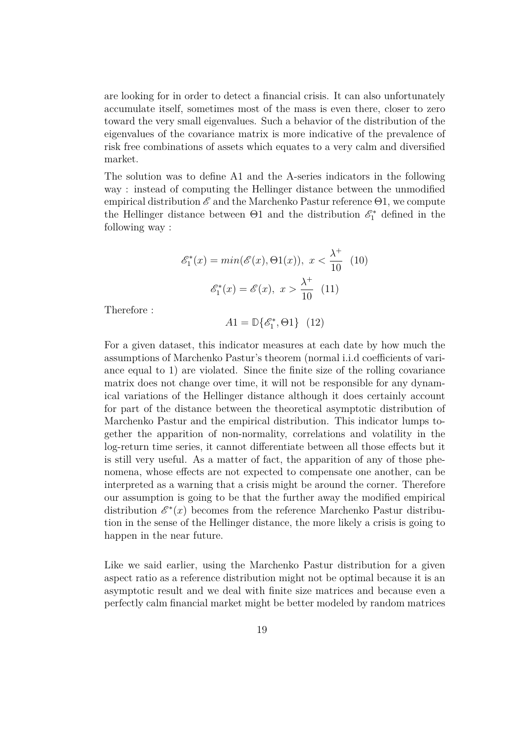are looking for in order to detect a financial crisis. It can also unfortunately accumulate itself, sometimes most of the mass is even there, closer to zero toward the very small eigenvalues. Such a behavior of the distribution of the eigenvalues of the covariance matrix is more indicative of the prevalence of risk free combinations of assets which equates to a very calm and diversified market.

The solution was to define A1 and the A-series indicators in the following way : instead of computing the Hellinger distance between the unmodified empirical distribution  $\mathscr E$  and the Marchenko Pastur reference  $\Theta$ 1, we compute the Hellinger distance between  $\Theta$ 1 and the distribution  $\mathscr{E}_1^*$  defined in the following way :

$$
\mathcal{E}_1^*(x) = \min(\mathcal{E}(x), \Theta(1(x)), x < \frac{\lambda^+}{10} \quad (10)
$$
\n
$$
\mathcal{E}_1^*(x) = \mathcal{E}(x), x > \frac{\lambda^+}{10} \quad (11)
$$

Therefore :

 $A1 = \mathbb{D}\{\mathscr{E}_1^*$  $_{1}^{\circ*},\Theta1\}$  (12)

For a given dataset, this indicator measures at each date by how much the assumptions of Marchenko Pastur's theorem (normal i.i.d coefficients of variance equal to 1) are violated. Since the finite size of the rolling covariance matrix does not change over time, it will not be responsible for any dynamical variations of the Hellinger distance although it does certainly account for part of the distance between the theoretical asymptotic distribution of Marchenko Pastur and the empirical distribution. This indicator lumps together the apparition of non-normality, correlations and volatility in the log-return time series, it cannot differentiate between all those effects but it is still very useful. As a matter of fact, the apparition of any of those phenomena, whose effects are not expected to compensate one another, can be interpreted as a warning that a crisis might be around the corner. Therefore our assumption is going to be that the further away the modified empirical distribution  $\mathscr{E}^*(x)$  becomes from the reference Marchenko Pastur distribution in the sense of the Hellinger distance, the more likely a crisis is going to happen in the near future.

Like we said earlier, using the Marchenko Pastur distribution for a given aspect ratio as a reference distribution might not be optimal because it is an asymptotic result and we deal with finite size matrices and because even a perfectly calm financial market might be better modeled by random matrices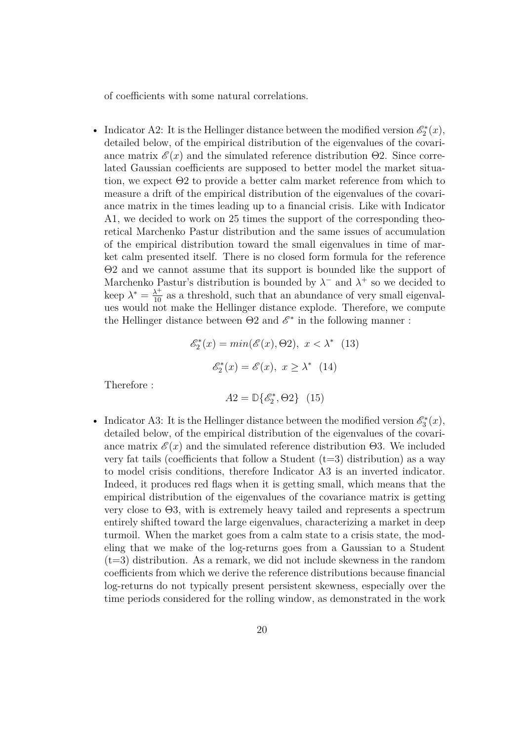of coefficients with some natural correlations.

• Indicator A2: It is the Hellinger distance between the modified version  $\mathscr{E}_2^*(x)$ , detailed below, of the empirical distribution of the eigenvalues of the covariance matrix  $\mathscr{E}(x)$  and the simulated reference distribution  $\Theta$ 2. Since correlated Gaussian coefficients are supposed to better model the market situation, we expect Θ2 to provide a better calm market reference from which to measure a drift of the empirical distribution of the eigenvalues of the covariance matrix in the times leading up to a financial crisis. Like with Indicator A1, we decided to work on 25 times the support of the corresponding theoretical Marchenko Pastur distribution and the same issues of accumulation of the empirical distribution toward the small eigenvalues in time of market calm presented itself. There is no closed form formula for the reference Θ2 and we cannot assume that its support is bounded like the support of Marchenko Pastur's distribution is bounded by  $\lambda^-$  and  $\lambda^+$  so we decided to keep  $\lambda^* = \frac{\lambda^+}{10}$  as a threshold, such that an abundance of very small eigenvalues would not make the Hellinger distance explode. Therefore, we compute the Hellinger distance between  $\Theta$ 2 and  $\mathscr{E}^*$  in the following manner :

$$
\mathcal{E}_2^*(x) = \min(\mathcal{E}(x), \Theta 2), \ x < \lambda^* \quad (13)
$$

$$
\mathcal{E}_2^*(x) = \mathcal{E}(x), \ x \ge \lambda^* \quad (14)
$$

Therefore :

$$
A2 = \mathbb{D}\{\mathscr{E}_2^*, \Theta 2\} \quad (15)
$$

• Indicator A3: It is the Hellinger distance between the modified version  $\mathscr{E}_3^*(x)$ , detailed below, of the empirical distribution of the eigenvalues of the covariance matrix  $\mathscr{E}(x)$  and the simulated reference distribution  $\Theta$ 3. We included very fat tails (coefficients that follow a Student  $(t=3)$  distribution) as a way to model crisis conditions, therefore Indicator A3 is an inverted indicator. Indeed, it produces red flags when it is getting small, which means that the empirical distribution of the eigenvalues of the covariance matrix is getting very close to Θ3, with is extremely heavy tailed and represents a spectrum entirely shifted toward the large eigenvalues, characterizing a market in deep turmoil. When the market goes from a calm state to a crisis state, the modeling that we make of the log-returns goes from a Gaussian to a Student  $(t=3)$  distribution. As a remark, we did not include skewness in the random coefficients from which we derive the reference distributions because financial log-returns do not typically present persistent skewness, especially over the time periods considered for the rolling window, as demonstrated in the work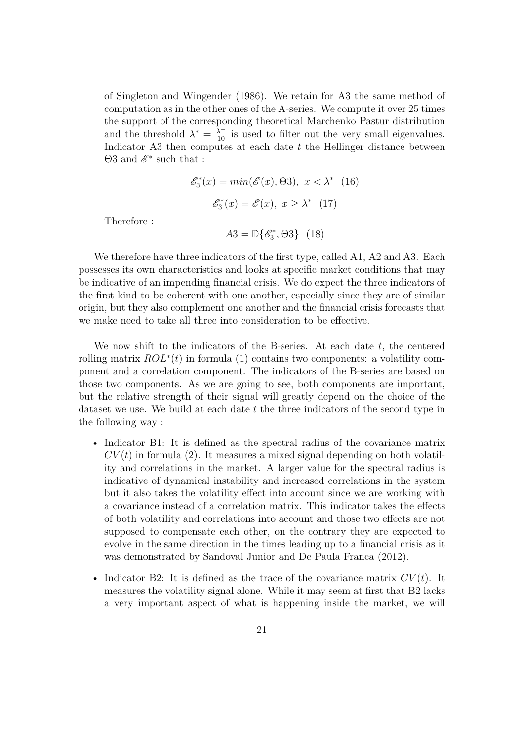of Singleton and Wingender (1986). We retain for A3 the same method of computation as in the other ones of the A-series. We compute it over 25 times the support of the corresponding theoretical Marchenko Pastur distribution and the threshold  $\lambda^* = \frac{\lambda^+}{10}$  is used to filter out the very small eigenvalues. Indicator A3 then computes at each date *t* the Hellinger distance between  $\Theta 3$  and  $\mathscr{E}^*$  such that :

$$
\mathcal{E}_3^*(x) = \min(\mathcal{E}(x), \Theta 3), \ x < \lambda^* \quad (16)
$$

$$
\mathcal{E}_3^*(x) = \mathcal{E}(x), \ x \ge \lambda^* \quad (17)
$$

Therefore :

 $A3 = \mathbb{D}\{\mathscr{E}_3^*$ <sup>*s\**</sup><sub>3</sub></sub>, Θ3} (18)

We therefore have three indicators of the first type, called A1, A2 and A3. Each possesses its own characteristics and looks at specific market conditions that may be indicative of an impending financial crisis. We do expect the three indicators of the first kind to be coherent with one another, especially since they are of similar origin, but they also complement one another and the financial crisis forecasts that we make need to take all three into consideration to be effective.

We now shift to the indicators of the B-series. At each date *t*, the centered rolling matrix *ROL*<sup>∗</sup> (*t*) in formula (1) contains two components: a volatility component and a correlation component. The indicators of the B-series are based on those two components. As we are going to see, both components are important, but the relative strength of their signal will greatly depend on the choice of the dataset we use. We build at each date *t* the three indicators of the second type in the following way :

- Indicator B1: It is defined as the spectral radius of the covariance matrix  $CV(t)$  in formula (2). It measures a mixed signal depending on both volatility and correlations in the market. A larger value for the spectral radius is indicative of dynamical instability and increased correlations in the system but it also takes the volatility effect into account since we are working with a covariance instead of a correlation matrix. This indicator takes the effects of both volatility and correlations into account and those two effects are not supposed to compensate each other, on the contrary they are expected to evolve in the same direction in the times leading up to a financial crisis as it was demonstrated by Sandoval Junior and De Paula Franca (2012).
- Indicator B2: It is defined as the trace of the covariance matrix  $CV(t)$ . It measures the volatility signal alone. While it may seem at first that B2 lacks a very important aspect of what is happening inside the market, we will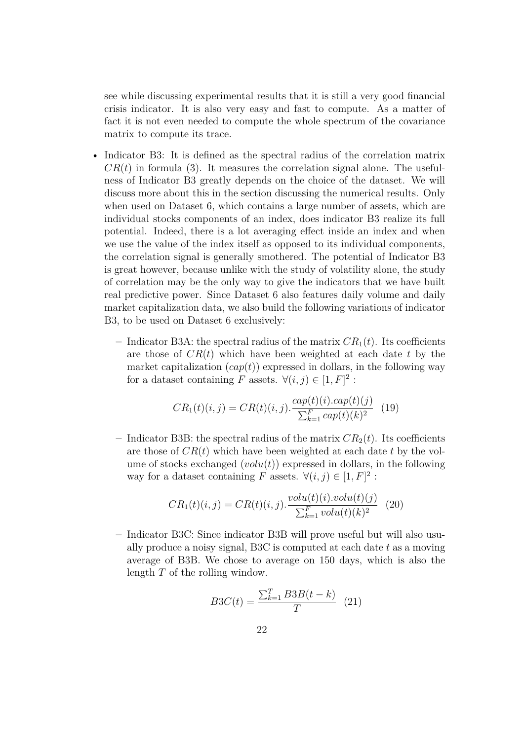see while discussing experimental results that it is still a very good financial crisis indicator. It is also very easy and fast to compute. As a matter of fact it is not even needed to compute the whole spectrum of the covariance matrix to compute its trace.

- Indicator B3: It is defined as the spectral radius of the correlation matrix  $CR(t)$  in formula (3). It measures the correlation signal alone. The usefulness of Indicator B3 greatly depends on the choice of the dataset. We will discuss more about this in the section discussing the numerical results. Only when used on Dataset 6, which contains a large number of assets, which are individual stocks components of an index, does indicator B3 realize its full potential. Indeed, there is a lot averaging effect inside an index and when we use the value of the index itself as opposed to its individual components, the correlation signal is generally smothered. The potential of Indicator B3 is great however, because unlike with the study of volatility alone, the study of correlation may be the only way to give the indicators that we have built real predictive power. Since Dataset 6 also features daily volume and daily market capitalization data, we also build the following variations of indicator B3, to be used on Dataset 6 exclusively:
	- $-$  Indicator B3A: the spectral radius of the matrix  $CR_1(t)$ . Its coefficients are those of *CR*(*t*) which have been weighted at each date *t* by the market capitalization  $(cap(t))$  expressed in dollars, in the following way for a dataset containing *F* assets.  $\forall (i, j) \in [1, F]^2$ :

$$
CR_1(t)(i,j) = CR(t)(i,j) \cdot \frac{cap(t)(i).cap(t)(j)}{\sum_{k=1}^{F} cap(t)(k)^2}
$$
 (19)

– Indicator B3B: the spectral radius of the matrix  $CR_2(t)$ . Its coefficients are those of *CR*(*t*) which have been weighted at each date *t* by the volume of stocks exchanged  $(volu(t))$  expressed in dollars, in the following way for a dataset containing *F* assets.  $\forall (i, j) \in [1, F]^2$ :

$$
CR_1(t)(i, j) = CR(t)(i, j) \cdot \frac{volu(t)(i) \cdot volu(t)(j)}{\sum_{k=1}^{F} volu(t)(k)^2}
$$
 (20)

**–** Indicator B3C: Since indicator B3B will prove useful but will also usually produce a noisy signal, B3C is computed at each date *t* as a moving average of B3B. We chose to average on 150 days, which is also the length *T* of the rolling window.

$$
B3C(t) = \frac{\sum_{k=1}^{T} B3B(t-k)}{T}
$$
 (21)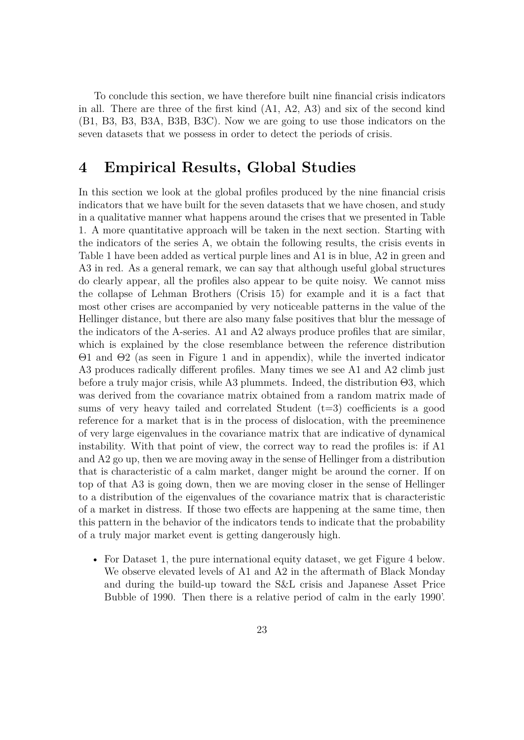To conclude this section, we have therefore built nine financial crisis indicators in all. There are three of the first kind (A1, A2, A3) and six of the second kind (B1, B3, B3, B3A, B3B, B3C). Now we are going to use those indicators on the seven datasets that we possess in order to detect the periods of crisis.

## **4 Empirical Results, Global Studies**

In this section we look at the global profiles produced by the nine financial crisis indicators that we have built for the seven datasets that we have chosen, and study in a qualitative manner what happens around the crises that we presented in Table 1. A more quantitative approach will be taken in the next section. Starting with the indicators of the series A, we obtain the following results, the crisis events in Table 1 have been added as vertical purple lines and A1 is in blue, A2 in green and A3 in red. As a general remark, we can say that although useful global structures do clearly appear, all the profiles also appear to be quite noisy. We cannot miss the collapse of Lehman Brothers (Crisis 15) for example and it is a fact that most other crises are accompanied by very noticeable patterns in the value of the Hellinger distance, but there are also many false positives that blur the message of the indicators of the A-series. A1 and A2 always produce profiles that are similar, which is explained by the close resemblance between the reference distribution Θ1 and Θ2 (as seen in Figure 1 and in appendix), while the inverted indicator A3 produces radically different profiles. Many times we see A1 and A2 climb just before a truly major crisis, while A3 plummets. Indeed, the distribution Θ3, which was derived from the covariance matrix obtained from a random matrix made of sums of very heavy tailed and correlated Student  $(t=3)$  coefficients is a good reference for a market that is in the process of dislocation, with the preeminence of very large eigenvalues in the covariance matrix that are indicative of dynamical instability. With that point of view, the correct way to read the profiles is: if A1 and A2 go up, then we are moving away in the sense of Hellinger from a distribution that is characteristic of a calm market, danger might be around the corner. If on top of that A3 is going down, then we are moving closer in the sense of Hellinger to a distribution of the eigenvalues of the covariance matrix that is characteristic of a market in distress. If those two effects are happening at the same time, then this pattern in the behavior of the indicators tends to indicate that the probability of a truly major market event is getting dangerously high.

• For Dataset 1, the pure international equity dataset, we get Figure 4 below. We observe elevated levels of A1 and A2 in the aftermath of Black Monday and during the build-up toward the S&L crisis and Japanese Asset Price Bubble of 1990. Then there is a relative period of calm in the early 1990'.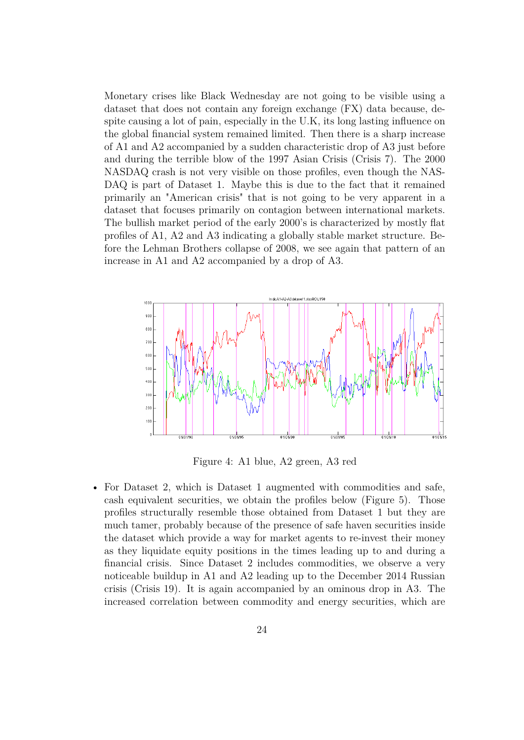Monetary crises like Black Wednesday are not going to be visible using a dataset that does not contain any foreign exchange (FX) data because, despite causing a lot of pain, especially in the U.K, its long lasting influence on the global financial system remained limited. Then there is a sharp increase of A1 and A2 accompanied by a sudden characteristic drop of A3 just before and during the terrible blow of the 1997 Asian Crisis (Crisis 7). The 2000 NASDAQ crash is not very visible on those profiles, even though the NAS-DAQ is part of Dataset 1. Maybe this is due to the fact that it remained primarily an "American crisis" that is not going to be very apparent in a dataset that focuses primarily on contagion between international markets. The bullish market period of the early 2000's is characterized by mostly flat profiles of A1, A2 and A3 indicating a globally stable market structure. Before the Lehman Brothers collapse of 2008, we see again that pattern of an increase in A1 and A2 accompanied by a drop of A3.



Figure 4: A1 blue, A2 green, A3 red

• For Dataset 2, which is Dataset 1 augmented with commodities and safe, cash equivalent securities, we obtain the profiles below (Figure 5). Those profiles structurally resemble those obtained from Dataset 1 but they are much tamer, probably because of the presence of safe haven securities inside the dataset which provide a way for market agents to re-invest their money as they liquidate equity positions in the times leading up to and during a financial crisis. Since Dataset 2 includes commodities, we observe a very noticeable buildup in A1 and A2 leading up to the December 2014 Russian crisis (Crisis 19). It is again accompanied by an ominous drop in A3. The increased correlation between commodity and energy securities, which are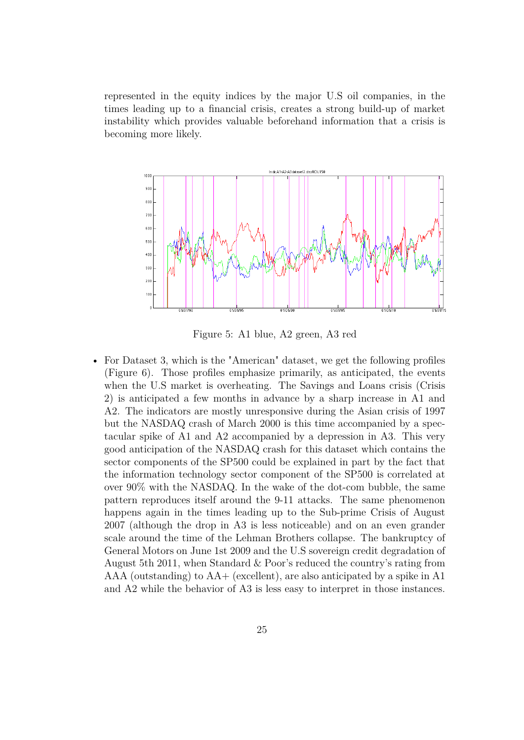represented in the equity indices by the major U.S oil companies, in the times leading up to a financial crisis, creates a strong build-up of market instability which provides valuable beforehand information that a crisis is becoming more likely.



Figure 5: A1 blue, A2 green, A3 red

• For Dataset 3, which is the "American" dataset, we get the following profiles (Figure 6). Those profiles emphasize primarily, as anticipated, the events when the U.S market is overheating. The Savings and Loans crisis (Crisis 2) is anticipated a few months in advance by a sharp increase in A1 and A2. The indicators are mostly unresponsive during the Asian crisis of 1997 but the NASDAQ crash of March 2000 is this time accompanied by a spectacular spike of A1 and A2 accompanied by a depression in A3. This very good anticipation of the NASDAQ crash for this dataset which contains the sector components of the SP500 could be explained in part by the fact that the information technology sector component of the SP500 is correlated at over 90% with the NASDAQ. In the wake of the dot-com bubble, the same pattern reproduces itself around the 9-11 attacks. The same phenomenon happens again in the times leading up to the Sub-prime Crisis of August 2007 (although the drop in A3 is less noticeable) and on an even grander scale around the time of the Lehman Brothers collapse. The bankruptcy of General Motors on June 1st 2009 and the U.S sovereign credit degradation of August 5th 2011, when Standard & Poor's reduced the country's rating from AAA (outstanding) to  $AA+$  (excellent), are also anticipated by a spike in A1 and A2 while the behavior of A3 is less easy to interpret in those instances.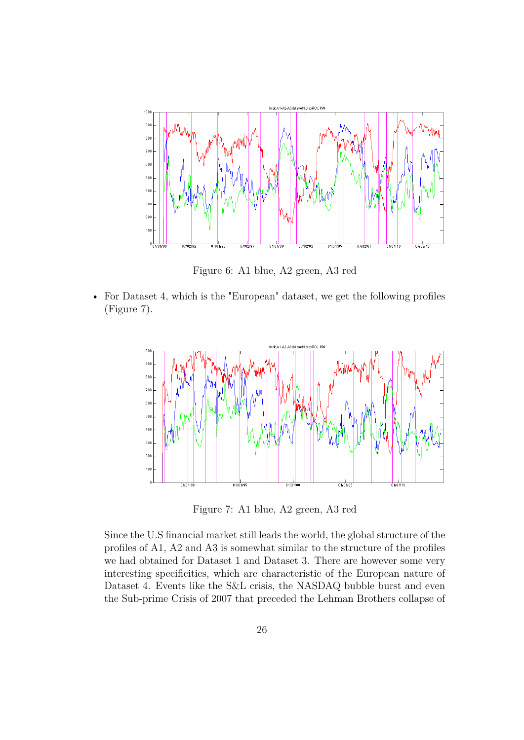

Figure 6: A1 blue, A2 green, A3 red

• For Dataset 4, which is the "European" dataset, we get the following profiles (Figure 7).



Figure 7: A1 blue, A2 green, A3 red

Since the U.S financial market still leads the world, the global structure of the profiles of A1, A2 and A3 is somewhat similar to the structure of the profiles we had obtained for Dataset 1 and Dataset 3. There are however some very interesting specificities, which are characteristic of the European nature of Dataset 4. Events like the S&L crisis, the NASDAQ bubble burst and even the Sub-prime Crisis of 2007 that preceded the Lehman Brothers collapse of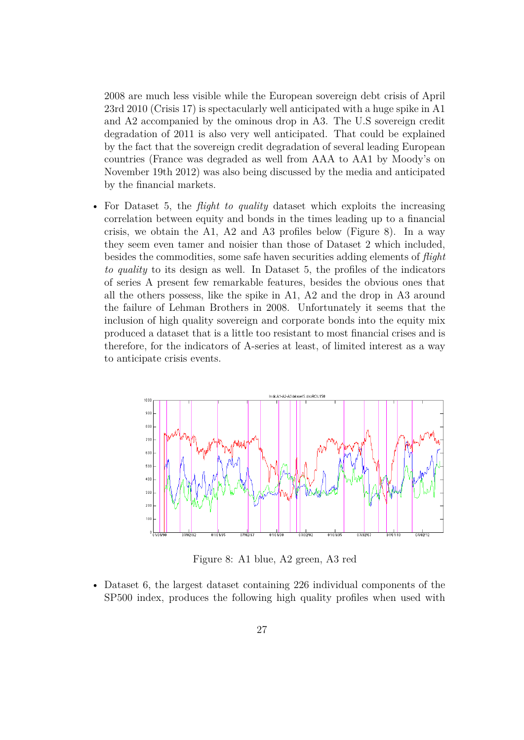2008 are much less visible while the European sovereign debt crisis of April 23rd 2010 (Crisis 17) is spectacularly well anticipated with a huge spike in A1 and A2 accompanied by the ominous drop in A3. The U.S sovereign credit degradation of 2011 is also very well anticipated. That could be explained by the fact that the sovereign credit degradation of several leading European countries (France was degraded as well from AAA to AA1 by Moody's on November 19th 2012) was also being discussed by the media and anticipated by the financial markets.

• For Dataset 5, the *flight to quality* dataset which exploits the increasing correlation between equity and bonds in the times leading up to a financial crisis, we obtain the A1, A2 and A3 profiles below (Figure 8). In a way they seem even tamer and noisier than those of Dataset 2 which included, besides the commodities, some safe haven securities adding elements of *flight to quality* to its design as well. In Dataset 5, the profiles of the indicators of series A present few remarkable features, besides the obvious ones that all the others possess, like the spike in A1, A2 and the drop in A3 around the failure of Lehman Brothers in 2008. Unfortunately it seems that the inclusion of high quality sovereign and corporate bonds into the equity mix produced a dataset that is a little too resistant to most financial crises and is therefore, for the indicators of A-series at least, of limited interest as a way to anticipate crisis events.



Figure 8: A1 blue, A2 green, A3 red

• Dataset 6, the largest dataset containing 226 individual components of the SP500 index, produces the following high quality profiles when used with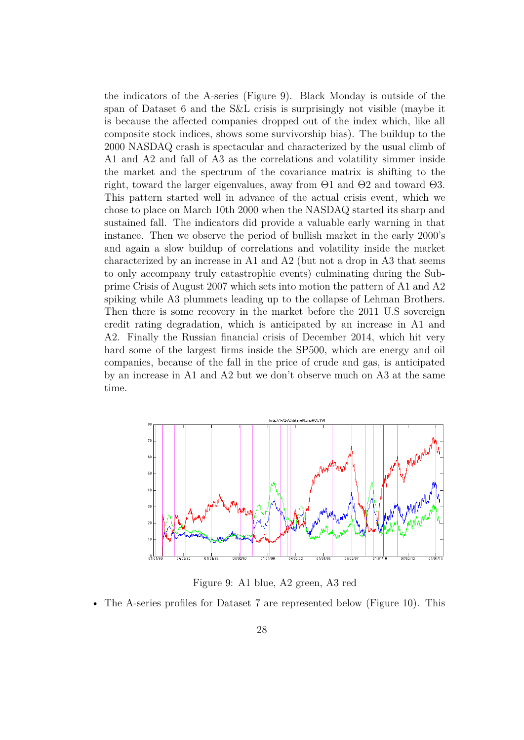the indicators of the A-series (Figure 9). Black Monday is outside of the span of Dataset 6 and the S&L crisis is surprisingly not visible (maybe it is because the affected companies dropped out of the index which, like all composite stock indices, shows some survivorship bias). The buildup to the 2000 NASDAQ crash is spectacular and characterized by the usual climb of A1 and A2 and fall of A3 as the correlations and volatility simmer inside the market and the spectrum of the covariance matrix is shifting to the right, toward the larger eigenvalues, away from Θ1 and Θ2 and toward Θ3. This pattern started well in advance of the actual crisis event, which we chose to place on March 10th 2000 when the NASDAQ started its sharp and sustained fall. The indicators did provide a valuable early warning in that instance. Then we observe the period of bullish market in the early 2000's and again a slow buildup of correlations and volatility inside the market characterized by an increase in A1 and A2 (but not a drop in A3 that seems to only accompany truly catastrophic events) culminating during the Subprime Crisis of August 2007 which sets into motion the pattern of A1 and A2 spiking while A3 plummets leading up to the collapse of Lehman Brothers. Then there is some recovery in the market before the 2011 U.S sovereign credit rating degradation, which is anticipated by an increase in A1 and A2. Finally the Russian financial crisis of December 2014, which hit very hard some of the largest firms inside the SP500, which are energy and oil companies, because of the fall in the price of crude and gas, is anticipated by an increase in A1 and A2 but we don't observe much on A3 at the same time.



Figure 9: A1 blue, A2 green, A3 red

• The A-series profiles for Dataset 7 are represented below (Figure 10). This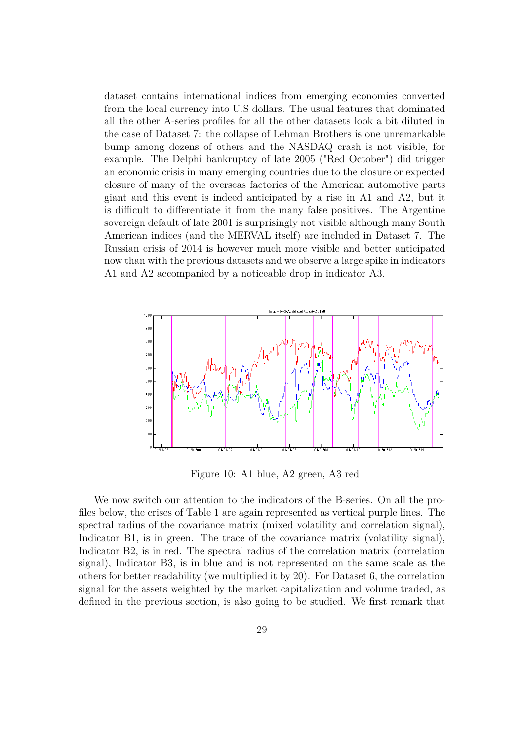dataset contains international indices from emerging economies converted from the local currency into U.S dollars. The usual features that dominated all the other A-series profiles for all the other datasets look a bit diluted in the case of Dataset 7: the collapse of Lehman Brothers is one unremarkable bump among dozens of others and the NASDAQ crash is not visible, for example. The Delphi bankruptcy of late 2005 ("Red October") did trigger an economic crisis in many emerging countries due to the closure or expected closure of many of the overseas factories of the American automotive parts giant and this event is indeed anticipated by a rise in A1 and A2, but it is difficult to differentiate it from the many false positives. The Argentine sovereign default of late 2001 is surprisingly not visible although many South American indices (and the MERVAL itself) are included in Dataset 7. The Russian crisis of 2014 is however much more visible and better anticipated now than with the previous datasets and we observe a large spike in indicators A1 and A2 accompanied by a noticeable drop in indicator A3.



Figure 10: A1 blue, A2 green, A3 red

We now switch our attention to the indicators of the B-series. On all the profiles below, the crises of Table 1 are again represented as vertical purple lines. The spectral radius of the covariance matrix (mixed volatility and correlation signal), Indicator B1, is in green. The trace of the covariance matrix (volatility signal), Indicator B2, is in red. The spectral radius of the correlation matrix (correlation signal), Indicator B3, is in blue and is not represented on the same scale as the others for better readability (we multiplied it by 20). For Dataset 6, the correlation signal for the assets weighted by the market capitalization and volume traded, as defined in the previous section, is also going to be studied. We first remark that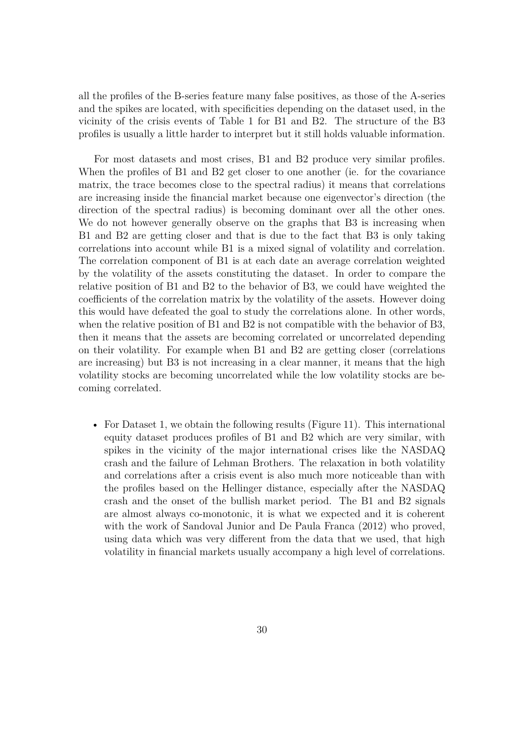all the profiles of the B-series feature many false positives, as those of the A-series and the spikes are located, with specificities depending on the dataset used, in the vicinity of the crisis events of Table 1 for B1 and B2. The structure of the B3 profiles is usually a little harder to interpret but it still holds valuable information.

For most datasets and most crises, B1 and B2 produce very similar profiles. When the profiles of B1 and B2 get closer to one another (ie. for the covariance matrix, the trace becomes close to the spectral radius) it means that correlations are increasing inside the financial market because one eigenvector's direction (the direction of the spectral radius) is becoming dominant over all the other ones. We do not however generally observe on the graphs that B3 is increasing when B1 and B2 are getting closer and that is due to the fact that B3 is only taking correlations into account while B1 is a mixed signal of volatility and correlation. The correlation component of B1 is at each date an average correlation weighted by the volatility of the assets constituting the dataset. In order to compare the relative position of B1 and B2 to the behavior of B3, we could have weighted the coefficients of the correlation matrix by the volatility of the assets. However doing this would have defeated the goal to study the correlations alone. In other words, when the relative position of B1 and B2 is not compatible with the behavior of B3, then it means that the assets are becoming correlated or uncorrelated depending on their volatility. For example when B1 and B2 are getting closer (correlations are increasing) but B3 is not increasing in a clear manner, it means that the high volatility stocks are becoming uncorrelated while the low volatility stocks are becoming correlated.

• For Dataset 1, we obtain the following results (Figure 11). This international equity dataset produces profiles of B1 and B2 which are very similar, with spikes in the vicinity of the major international crises like the NASDAQ crash and the failure of Lehman Brothers. The relaxation in both volatility and correlations after a crisis event is also much more noticeable than with the profiles based on the Hellinger distance, especially after the NASDAQ crash and the onset of the bullish market period. The B1 and B2 signals are almost always co-monotonic, it is what we expected and it is coherent with the work of Sandoval Junior and De Paula Franca (2012) who proved, using data which was very different from the data that we used, that high volatility in financial markets usually accompany a high level of correlations.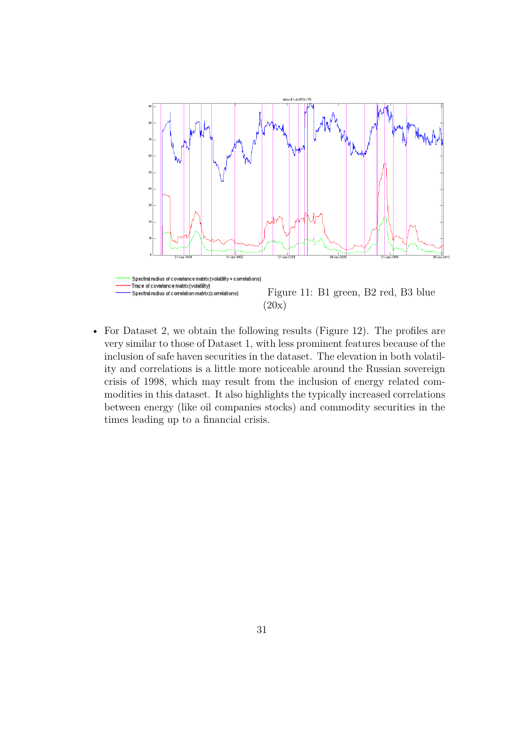

• For Dataset 2, we obtain the following results (Figure 12). The profiles are very similar to those of Dataset 1, with less prominent features because of the inclusion of safe haven securities in the dataset. The elevation in both volatility and correlations is a little more noticeable around the Russian sovereign crisis of 1998, which may result from the inclusion of energy related commodities in this dataset. It also highlights the typically increased correlations between energy (like oil companies stocks) and commodity securities in the times leading up to a financial crisis.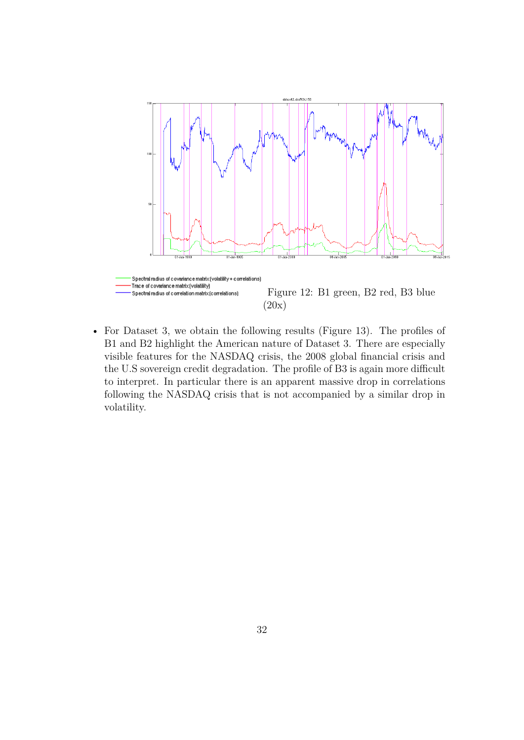

• For Dataset 3, we obtain the following results (Figure 13). The profiles of B1 and B2 highlight the American nature of Dataset 3. There are especially visible features for the NASDAQ crisis, the 2008 global financial crisis and the U.S sovereign credit degradation. The profile of B3 is again more difficult to interpret. In particular there is an apparent massive drop in correlations following the NASDAQ crisis that is not accompanied by a similar drop in volatility.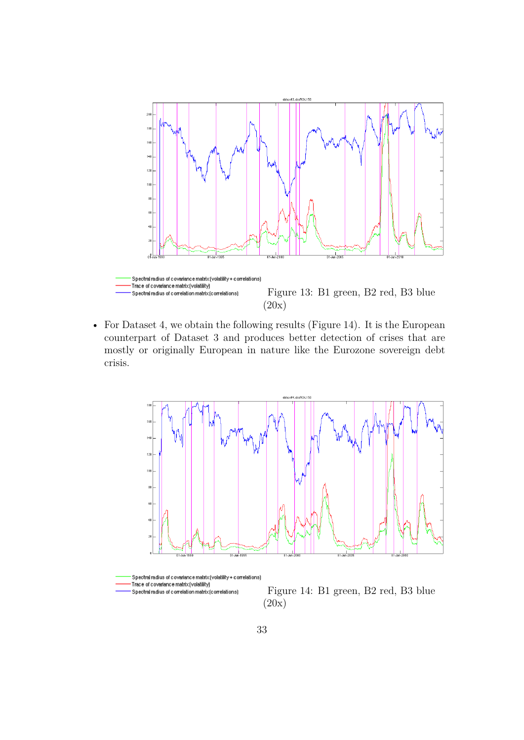

• For Dataset 4, we obtain the following results (Figure 14). It is the European counterpart of Dataset 3 and produces better detection of crises that are mostly or originally European in nature like the Eurozone sovereign debt crisis.

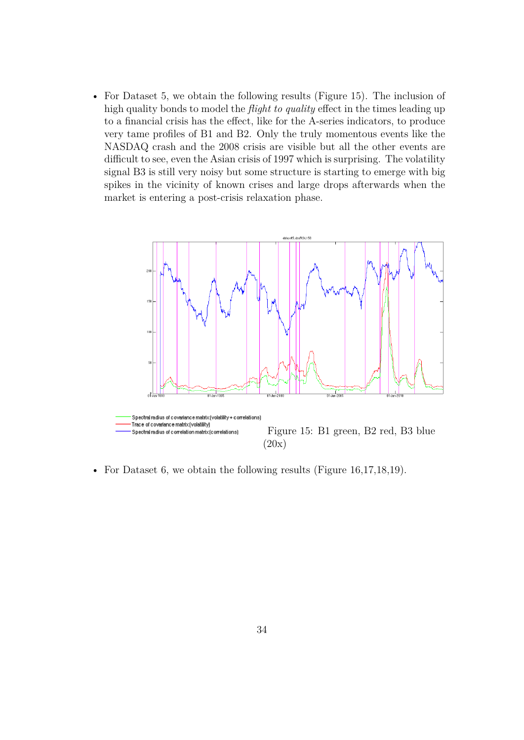• For Dataset 5, we obtain the following results (Figure 15). The inclusion of high quality bonds to model the *flight to quality* effect in the times leading up to a financial crisis has the effect, like for the A-series indicators, to produce very tame profiles of B1 and B2. Only the truly momentous events like the NASDAQ crash and the 2008 crisis are visible but all the other events are difficult to see, even the Asian crisis of 1997 which is surprising. The volatility signal B3 is still very noisy but some structure is starting to emerge with big spikes in the vicinity of known crises and large drops afterwards when the market is entering a post-crisis relaxation phase.



• For Dataset 6, we obtain the following results (Figure 16,17,18,19).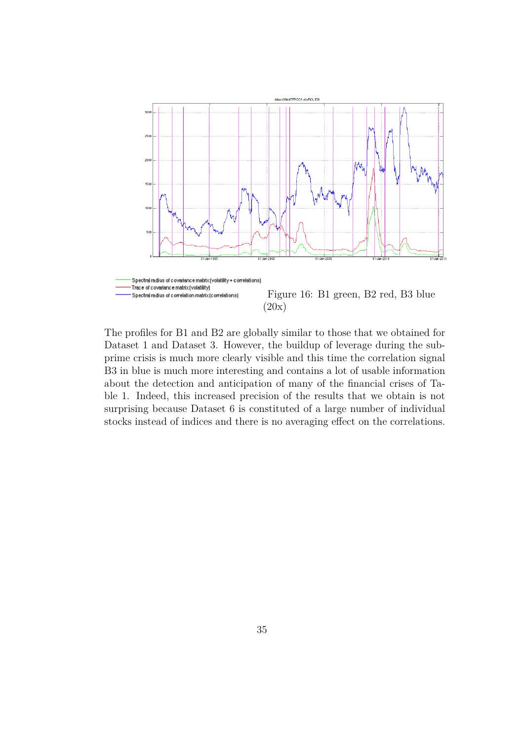

The profiles for B1 and B2 are globally similar to those that we obtained for Dataset 1 and Dataset 3. However, the buildup of leverage during the subprime crisis is much more clearly visible and this time the correlation signal B3 in blue is much more interesting and contains a lot of usable information about the detection and anticipation of many of the financial crises of Table 1. Indeed, this increased precision of the results that we obtain is not surprising because Dataset 6 is constituted of a large number of individual stocks instead of indices and there is no averaging effect on the correlations.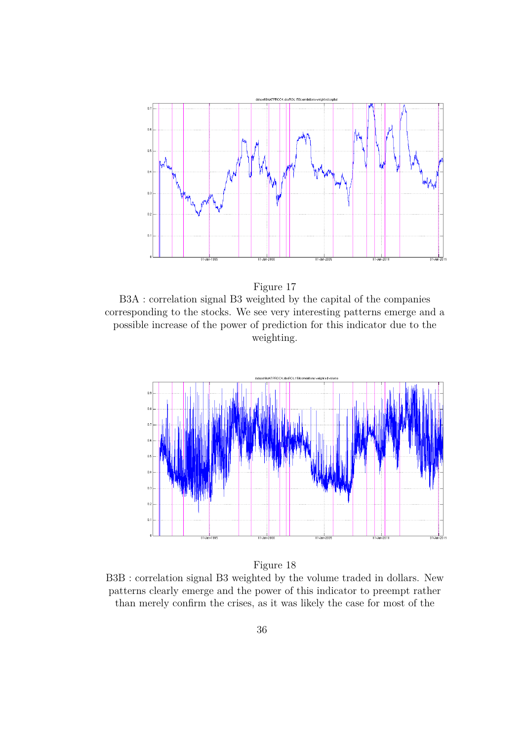



B3A : correlation signal B3 weighted by the capital of the companies corresponding to the stocks. We see very interesting patterns emerge and a possible increase of the power of prediction for this indicator due to the weighting.



Figure 18

B3B : correlation signal B3 weighted by the volume traded in dollars. New patterns clearly emerge and the power of this indicator to preempt rather than merely confirm the crises, as it was likely the case for most of the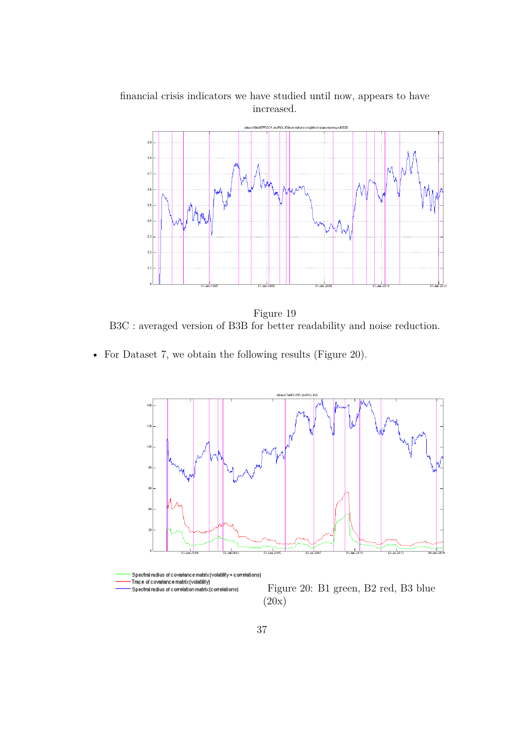

financial crisis indicators we have studied until now, appears to have increased.

Figure 19 B3C : averaged version of B3B for better readability and noise reduction.

• For Dataset 7, we obtain the following results (Figure 20).



Figure 20: B1 green, B2 red, B3 blue Spectral radius of correlation matrix (correlations) (20x)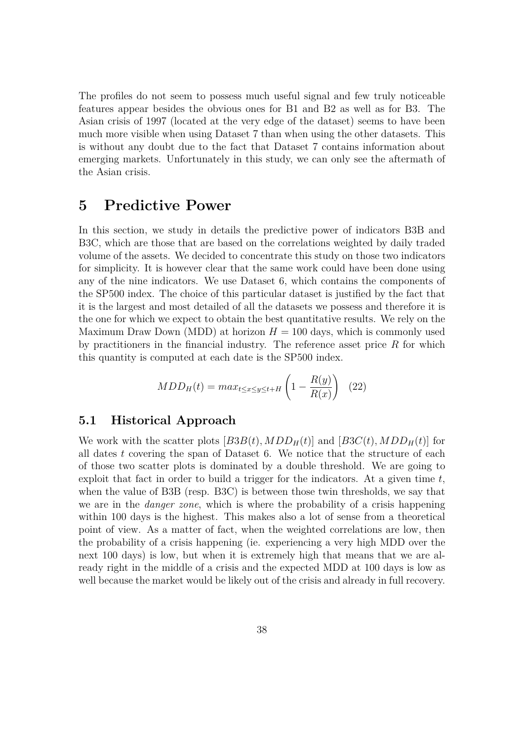The profiles do not seem to possess much useful signal and few truly noticeable features appear besides the obvious ones for B1 and B2 as well as for B3. The Asian crisis of 1997 (located at the very edge of the dataset) seems to have been much more visible when using Dataset 7 than when using the other datasets. This is without any doubt due to the fact that Dataset 7 contains information about emerging markets. Unfortunately in this study, we can only see the aftermath of the Asian crisis.

### **5 Predictive Power**

In this section, we study in details the predictive power of indicators B3B and B3C, which are those that are based on the correlations weighted by daily traded volume of the assets. We decided to concentrate this study on those two indicators for simplicity. It is however clear that the same work could have been done using any of the nine indicators. We use Dataset 6, which contains the components of the SP500 index. The choice of this particular dataset is justified by the fact that it is the largest and most detailed of all the datasets we possess and therefore it is the one for which we expect to obtain the best quantitative results. We rely on the Maximum Draw Down (MDD) at horizon  $H = 100$  days, which is commonly used by practitioners in the financial industry. The reference asset price *R* for which this quantity is computed at each date is the SP500 index.

$$
MDD_H(t) = max_{t \le x \le y \le t + H} \left( 1 - \frac{R(y)}{R(x)} \right) \tag{22}
$$

#### **5.1 Historical Approach**

We work with the scatter plots  $[B3B(t), MDD<sub>H</sub>(t)]$  and  $[B3C(t), MDD<sub>H</sub>(t)]$  for all dates *t* covering the span of Dataset 6. We notice that the structure of each of those two scatter plots is dominated by a double threshold. We are going to exploit that fact in order to build a trigger for the indicators. At a given time *t*, when the value of B3B (resp. B3C) is between those twin thresholds, we say that we are in the *danger zone*, which is where the probability of a crisis happening within 100 days is the highest. This makes also a lot of sense from a theoretical point of view. As a matter of fact, when the weighted correlations are low, then the probability of a crisis happening (ie. experiencing a very high MDD over the next 100 days) is low, but when it is extremely high that means that we are already right in the middle of a crisis and the expected MDD at 100 days is low as well because the market would be likely out of the crisis and already in full recovery.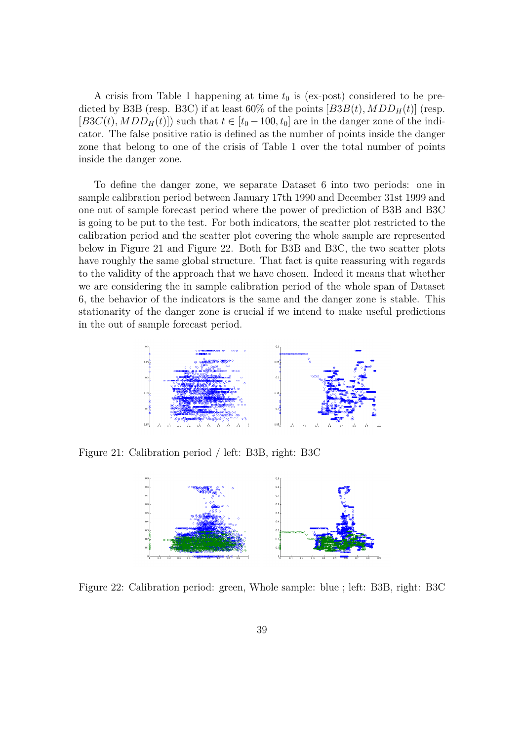A crisis from Table 1 happening at time  $t_0$  is (ex-post) considered to be predicted by B3B (resp. B3C) if at least  $60\%$  of the points  $[B3B(t), MDD<sub>H</sub>(t)]$  (resp.  $[B3C(t), MDD<sub>H</sub>(t)]$  such that  $t \in [t_0 - 100, t_0]$  are in the danger zone of the indicator. The false positive ratio is defined as the number of points inside the danger zone that belong to one of the crisis of Table 1 over the total number of points inside the danger zone.

To define the danger zone, we separate Dataset 6 into two periods: one in sample calibration period between January 17th 1990 and December 31st 1999 and one out of sample forecast period where the power of prediction of B3B and B3C is going to be put to the test. For both indicators, the scatter plot restricted to the calibration period and the scatter plot covering the whole sample are represented below in Figure 21 and Figure 22. Both for B3B and B3C, the two scatter plots have roughly the same global structure. That fact is quite reassuring with regards to the validity of the approach that we have chosen. Indeed it means that whether we are considering the in sample calibration period of the whole span of Dataset 6, the behavior of the indicators is the same and the danger zone is stable. This stationarity of the danger zone is crucial if we intend to make useful predictions in the out of sample forecast period.



Figure 21: Calibration period / left: B3B, right: B3C



Figure 22: Calibration period: green, Whole sample: blue ; left: B3B, right: B3C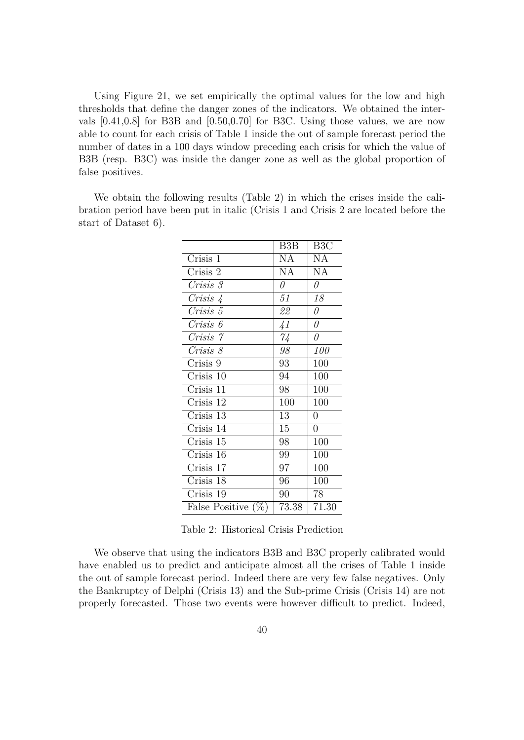Using Figure 21, we set empirically the optimal values for the low and high thresholds that define the danger zones of the indicators. We obtained the intervals [0.41,0.8] for B3B and [0.50,0.70] for B3C. Using those values, we are now able to count for each crisis of Table 1 inside the out of sample forecast period the number of dates in a 100 days window preceding each crisis for which the value of B3B (resp. B3C) was inside the danger zone as well as the global proportion of false positives.

We obtain the following results (Table 2) in which the crises inside the calibration period have been put in italic (Crisis 1 and Crisis 2 are located before the start of Dataset 6).

|                       | B3B           | B <sub>3</sub> C |
|-----------------------|---------------|------------------|
| Crisis 1              | NA            | NA               |
| Crisis 2              | <b>NA</b>     | NA               |
| Crisis 3              | $\theta$      | 0                |
| Crisis 4              | 51            | 18               |
| Crisis 5              | 22            | $\theta$         |
| Crisis 6              | $\frac{1}{4}$ | $\theta$         |
| Crisis 7              | $\gamma_4$    | 0                |
| Crisis 8              | 98            | <i>100</i>       |
| Crisis 9              | 93            | 100              |
| Crisis 10             | 94            | 100              |
| Crisis 11             | 98            | 100              |
| Crisis 12             | 100           | 100              |
| Crisis 13             | 13            | $\overline{0}$   |
| Crisis 14             | 15            | $\overline{0}$   |
| Crisis 15             | 98            | 100              |
| Crisis 16             | 99            | 100              |
| Crisis 17             | 97            | 100              |
| Crisis 18             | 96            | 100              |
| Crisis 19             | 90            | 78               |
| False Positive $(\%)$ | 73.38         | 71.30            |

Table 2: Historical Crisis Prediction

We observe that using the indicators B3B and B3C properly calibrated would have enabled us to predict and anticipate almost all the crises of Table 1 inside the out of sample forecast period. Indeed there are very few false negatives. Only the Bankruptcy of Delphi (Crisis 13) and the Sub-prime Crisis (Crisis 14) are not properly forecasted. Those two events were however difficult to predict. Indeed,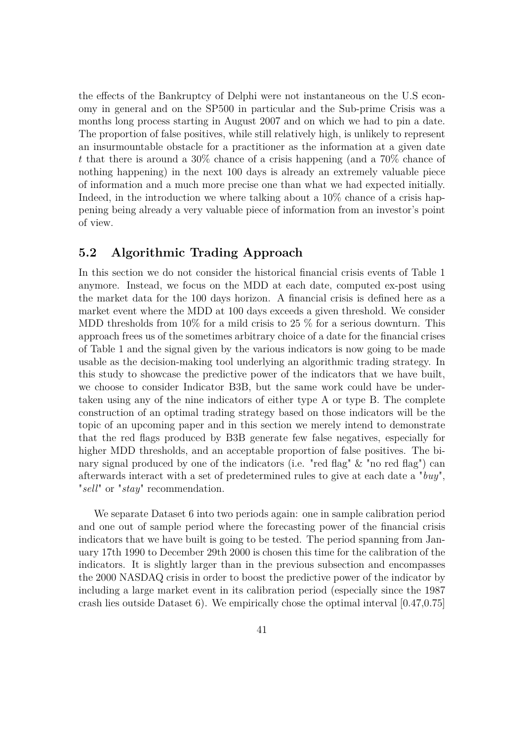the effects of the Bankruptcy of Delphi were not instantaneous on the U.S economy in general and on the SP500 in particular and the Sub-prime Crisis was a months long process starting in August 2007 and on which we had to pin a date. The proportion of false positives, while still relatively high, is unlikely to represent an insurmountable obstacle for a practitioner as the information at a given date *t* that there is around a 30% chance of a crisis happening (and a 70% chance of nothing happening) in the next 100 days is already an extremely valuable piece of information and a much more precise one than what we had expected initially. Indeed, in the introduction we where talking about a 10% chance of a crisis happening being already a very valuable piece of information from an investor's point of view.

#### **5.2 Algorithmic Trading Approach**

In this section we do not consider the historical financial crisis events of Table 1 anymore. Instead, we focus on the MDD at each date, computed ex-post using the market data for the 100 days horizon. A financial crisis is defined here as a market event where the MDD at 100 days exceeds a given threshold. We consider MDD thresholds from 10% for a mild crisis to 25 % for a serious downturn. This approach frees us of the sometimes arbitrary choice of a date for the financial crises of Table 1 and the signal given by the various indicators is now going to be made usable as the decision-making tool underlying an algorithmic trading strategy. In this study to showcase the predictive power of the indicators that we have built, we choose to consider Indicator B3B, but the same work could have be undertaken using any of the nine indicators of either type A or type B. The complete construction of an optimal trading strategy based on those indicators will be the topic of an upcoming paper and in this section we merely intend to demonstrate that the red flags produced by B3B generate few false negatives, especially for higher MDD thresholds, and an acceptable proportion of false positives. The binary signal produced by one of the indicators (i.e. "red flag" & "no red flag") can afterwards interact with a set of predetermined rules to give at each date a "*buy*", "*sell*" or "*stay*" recommendation.

We separate Dataset 6 into two periods again: one in sample calibration period and one out of sample period where the forecasting power of the financial crisis indicators that we have built is going to be tested. The period spanning from January 17th 1990 to December 29th 2000 is chosen this time for the calibration of the indicators. It is slightly larger than in the previous subsection and encompasses the 2000 NASDAQ crisis in order to boost the predictive power of the indicator by including a large market event in its calibration period (especially since the 1987 crash lies outside Dataset 6). We empirically chose the optimal interval [0.47,0.75]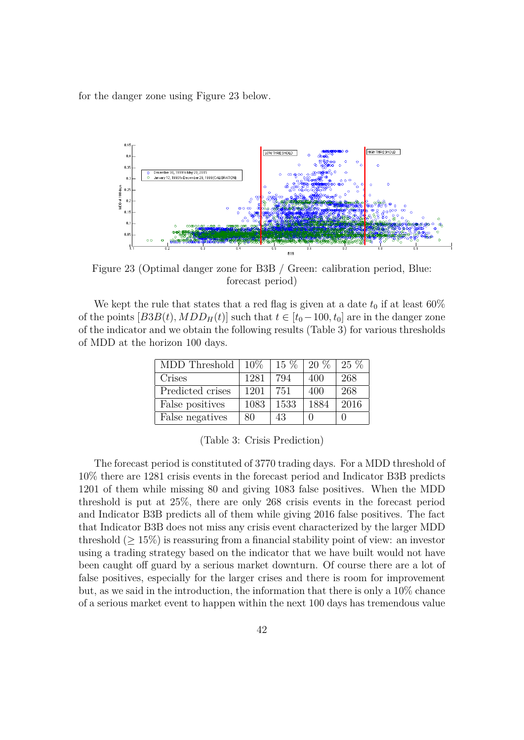for the danger zone using Figure 23 below.



Figure 23 (Optimal danger zone for B3B / Green: calibration period, Blue: forecast period)

We kept the rule that states that a red flag is given at a date  $t_0$  if at least  $60\%$ of the points  $[BB(t), MDD<sub>H</sub>(t)]$  such that  $t \in [t_0-100, t_0]$  are in the danger zone of the indicator and we obtain the following results (Table 3) for various thresholds of MDD at the horizon 100 days.

| MDD Threshold    | $10\%$ | $15\%$ | $20\%$ | $25\%$ |
|------------------|--------|--------|--------|--------|
| Crises           | 1281   | 794    | 400    | 268    |
| Predicted crises | 1201   | 751    | 400    | 268    |
| False positives  | 1083   | 1533   | 1884   | 2016   |
| False negatives  | 80     | 43     |        |        |

(Table 3: Crisis Prediction)

The forecast period is constituted of 3770 trading days. For a MDD threshold of 10% there are 1281 crisis events in the forecast period and Indicator B3B predicts 1201 of them while missing 80 and giving 1083 false positives. When the MDD threshold is put at 25%, there are only 268 crisis events in the forecast period and Indicator B3B predicts all of them while giving 2016 false positives. The fact that Indicator B3B does not miss any crisis event characterized by the larger MDD threshold  $(≥ 15\%)$  is reassuring from a financial stability point of view: an investor using a trading strategy based on the indicator that we have built would not have been caught off guard by a serious market downturn. Of course there are a lot of false positives, especially for the larger crises and there is room for improvement but, as we said in the introduction, the information that there is only a 10% chance of a serious market event to happen within the next 100 days has tremendous value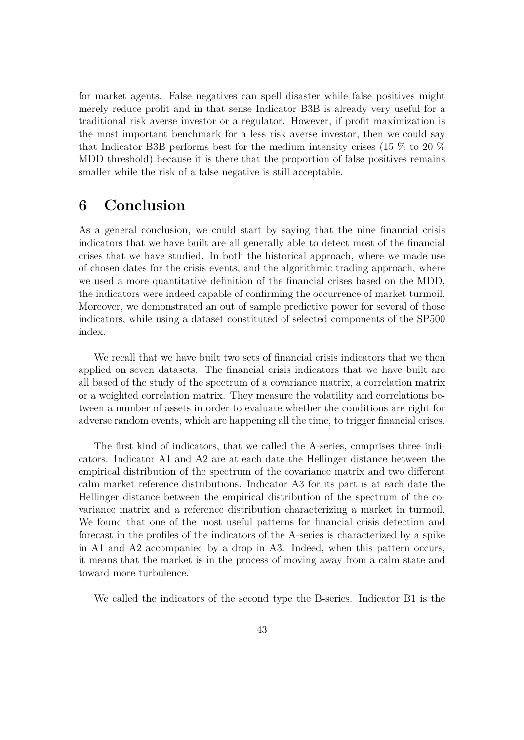for market agents. False negatives can spell disaster while false positives might merely reduce profit and in that sense Indicator B3B is already very useful for a traditional risk averse investor or a regulator. However, if profit maximization is the most important benchmark for a less risk averse investor, then we could say that Indicator B3B performs best for the medium intensity crises (15 % to 20 % MDD threshold) because it is there that the proportion of false positives remains smaller while the risk of a false negative is still acceptable.

# **6 Conclusion**

As a general conclusion, we could start by saying that the nine financial crisis indicators that we have built are all generally able to detect most of the financial crises that we have studied. In both the historical approach, where we made use of chosen dates for the crisis events, and the algorithmic trading approach, where we used a more quantitative definition of the financial crises based on the MDD, the indicators were indeed capable of confirming the occurrence of market turmoil. Moreover, we demonstrated an out of sample predictive power for several of those indicators, while using a dataset constituted of selected components of the SP500 index.

We recall that we have built two sets of financial crisis indicators that we then applied on seven datasets. The financial crisis indicators that we have built are all based of the study of the spectrum of a covariance matrix, a correlation matrix or a weighted correlation matrix. They measure the volatility and correlations between a number of assets in order to evaluate whether the conditions are right for adverse random events, which are happening all the time, to trigger financial crises.

The first kind of indicators, that we called the A-series, comprises three indicators. Indicator A1 and A2 are at each date the Hellinger distance between the empirical distribution of the spectrum of the covariance matrix and two different calm market reference distributions. Indicator A3 for its part is at each date the Hellinger distance between the empirical distribution of the spectrum of the covariance matrix and a reference distribution characterizing a market in turmoil. We found that one of the most useful patterns for financial crisis detection and forecast in the profiles of the indicators of the A-series is characterized by a spike in A1 and A2 accompanied by a drop in A3. Indeed, when this pattern occurs, it means that the market is in the process of moving away from a calm state and toward more turbulence.

We called the indicators of the second type the B-series. Indicator B1 is the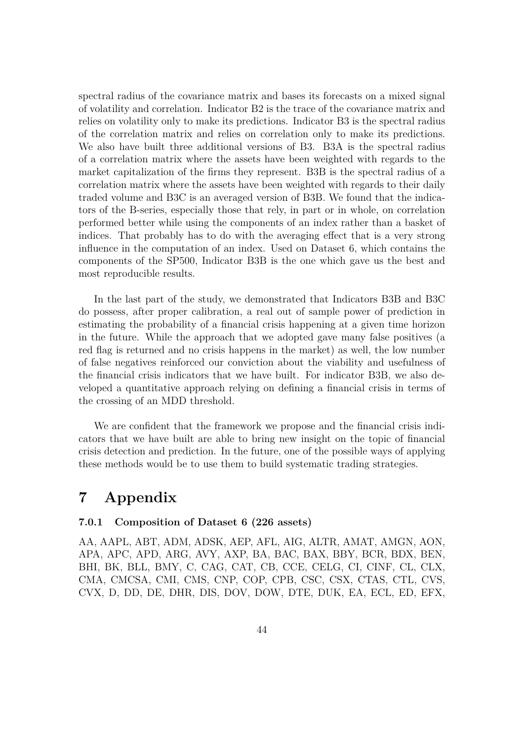spectral radius of the covariance matrix and bases its forecasts on a mixed signal of volatility and correlation. Indicator B2 is the trace of the covariance matrix and relies on volatility only to make its predictions. Indicator B3 is the spectral radius of the correlation matrix and relies on correlation only to make its predictions. We also have built three additional versions of B3. B3A is the spectral radius of a correlation matrix where the assets have been weighted with regards to the market capitalization of the firms they represent. B3B is the spectral radius of a correlation matrix where the assets have been weighted with regards to their daily traded volume and B3C is an averaged version of B3B. We found that the indicators of the B-series, especially those that rely, in part or in whole, on correlation performed better while using the components of an index rather than a basket of indices. That probably has to do with the averaging effect that is a very strong influence in the computation of an index. Used on Dataset 6, which contains the components of the SP500, Indicator B3B is the one which gave us the best and most reproducible results.

In the last part of the study, we demonstrated that Indicators B3B and B3C do possess, after proper calibration, a real out of sample power of prediction in estimating the probability of a financial crisis happening at a given time horizon in the future. While the approach that we adopted gave many false positives (a red flag is returned and no crisis happens in the market) as well, the low number of false negatives reinforced our conviction about the viability and usefulness of the financial crisis indicators that we have built. For indicator B3B, we also developed a quantitative approach relying on defining a financial crisis in terms of the crossing of an MDD threshold.

We are confident that the framework we propose and the financial crisis indicators that we have built are able to bring new insight on the topic of financial crisis detection and prediction. In the future, one of the possible ways of applying these methods would be to use them to build systematic trading strategies.

# **7 Appendix**

#### **7.0.1 Composition of Dataset 6 (226 assets)**

AA, AAPL, ABT, ADM, ADSK, AEP, AFL, AIG, ALTR, AMAT, AMGN, AON, APA, APC, APD, ARG, AVY, AXP, BA, BAC, BAX, BBY, BCR, BDX, BEN, BHI, BK, BLL, BMY, C, CAG, CAT, CB, CCE, CELG, CI, CINF, CL, CLX, CMA, CMCSA, CMI, CMS, CNP, COP, CPB, CSC, CSX, CTAS, CTL, CVS, CVX, D, DD, DE, DHR, DIS, DOV, DOW, DTE, DUK, EA, ECL, ED, EFX,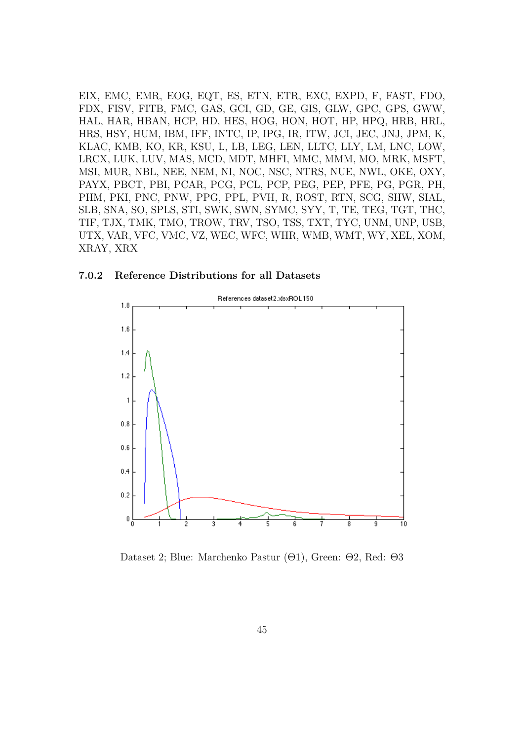EIX, EMC, EMR, EOG, EQT, ES, ETN, ETR, EXC, EXPD, F, FAST, FDO, FDX, FISV, FITB, FMC, GAS, GCI, GD, GE, GIS, GLW, GPC, GPS, GWW, HAL, HAR, HBAN, HCP, HD, HES, HOG, HON, HOT, HP, HPQ, HRB, HRL, HRS, HSY, HUM, IBM, IFF, INTC, IP, IPG, IR, ITW, JCI, JEC, JNJ, JPM, K, KLAC, KMB, KO, KR, KSU, L, LB, LEG, LEN, LLTC, LLY, LM, LNC, LOW, LRCX, LUK, LUV, MAS, MCD, MDT, MHFI, MMC, MMM, MO, MRK, MSFT, MSI, MUR, NBL, NEE, NEM, NI, NOC, NSC, NTRS, NUE, NWL, OKE, OXY, PAYX, PBCT, PBI, PCAR, PCG, PCL, PCP, PEG, PEP, PFE, PG, PGR, PH, PHM, PKI, PNC, PNW, PPG, PPL, PVH, R, ROST, RTN, SCG, SHW, SIAL, SLB, SNA, SO, SPLS, STI, SWK, SWN, SYMC, SYY, T, TE, TEG, TGT, THC, TIF, TJX, TMK, TMO, TROW, TRV, TSO, TSS, TXT, TYC, UNM, UNP, USB, UTX, VAR, VFC, VMC, VZ, WEC, WFC, WHR, WMB, WMT, WY, XEL, XOM, XRAY, XRX





Dataset 2; Blue: Marchenko Pastur (Θ1), Green: Θ2, Red: Θ3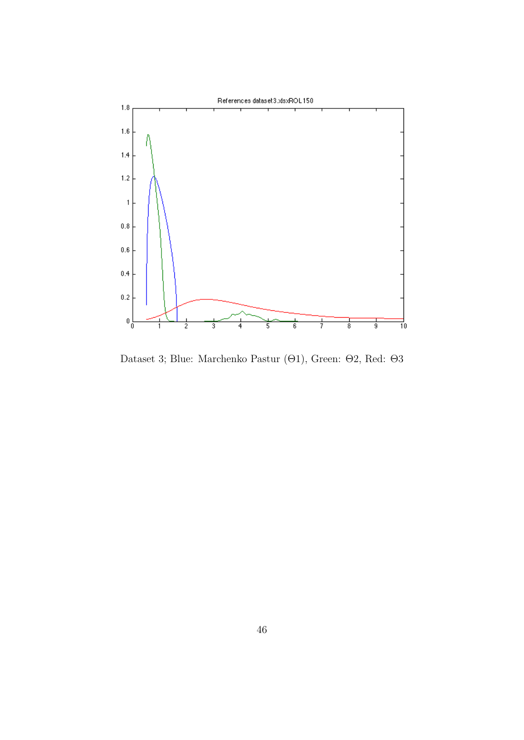

Dataset 3; Blue: Marchenko Pastur (Θ1), Green: Θ2, Red: Θ3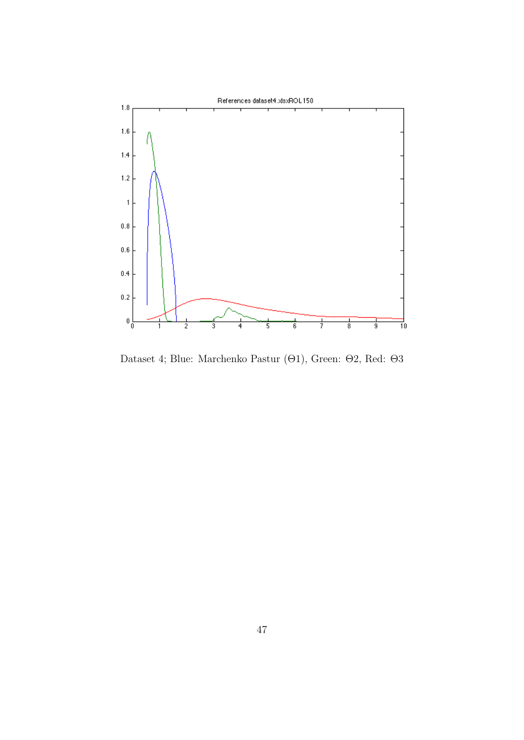

Dataset 4; Blue: Marchenko Pastur (Θ1), Green: Θ2, Red: Θ3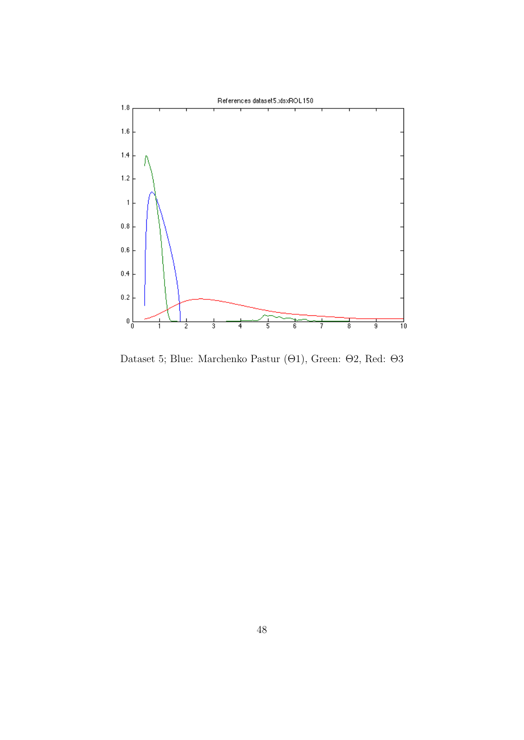

Dataset 5; Blue: Marchenko Pastur (Θ1), Green: Θ2, Red: Θ3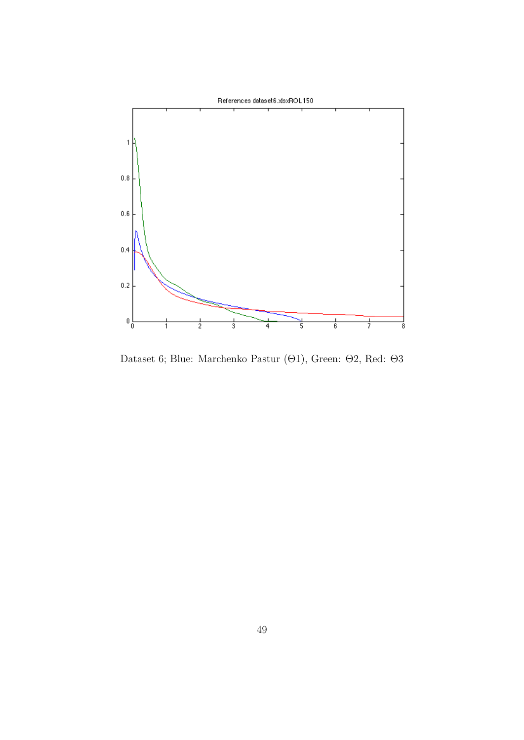

Dataset 6; Blue: Marchenko Pastur (Θ1), Green: Θ2, Red: Θ3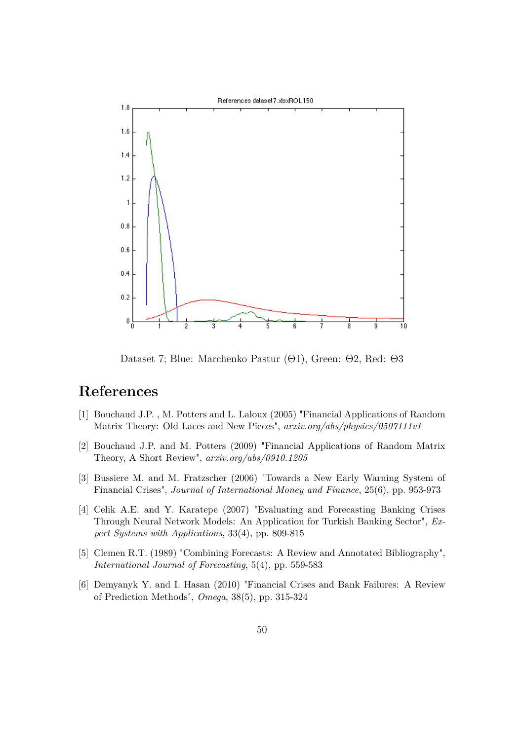

Dataset 7; Blue: Marchenko Pastur (Θ1), Green: Θ2, Red: Θ3

# **References**

- [1] Bouchaud J.P. , M. Potters and L. Laloux (2005) "Financial Applications of Random Matrix Theory: Old Laces and New Pieces", *arxiv.org/abs/physics/0507111v1*
- [2] Bouchaud J.P. and M. Potters (2009) "Financial Applications of Random Matrix Theory, A Short Review", *arxiv.org/abs/0910.1205*
- [3] Bussiere M. and M. Fratzscher (2006) "Towards a New Early Warning System of Financial Crises", *Journal of International Money and Finance*, 25(6), pp. 953-973
- [4] Celik A.E. and Y. Karatepe (2007) "Evaluating and Forecasting Banking Crises Through Neural Network Models: An Application for Turkish Banking Sector", *Expert Systems with Applications*, 33(4), pp. 809-815
- [5] Clemen R.T. (1989) "Combining Forecasts: A Review and Annotated Bibliography", *International Journal of Forecasting*, 5(4), pp. 559-583
- [6] Demyanyk Y. and I. Hasan (2010) "Financial Crises and Bank Failures: A Review of Prediction Methods", *Omega*, 38(5), pp. 315-324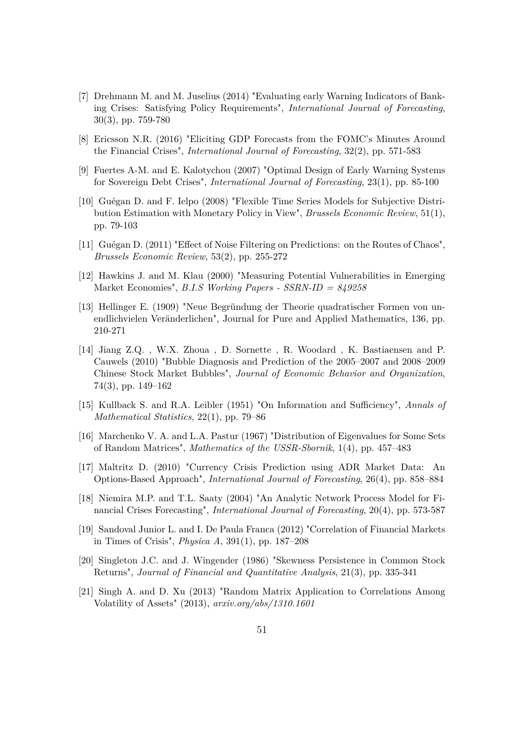- [7] Drehmann M. and M. Juselius (2014) "Evaluating early Warning Indicators of Banking Crises: Satisfying Policy Requirements", *International Journal of Forecasting*, 30(3), pp. 759-780
- [8] Ericsson N.R. (2016) "Eliciting GDP Forecasts from the FOMC's Minutes Around the Financial Crises", *International Journal of Forecasting*, 32(2), pp. 571-583
- [9] Fuertes A-M. and E. Kalotychou (2007) "Optimal Design of Early Warning Systems for Sovereign Debt Crises", *International Journal of Forecasting*, 23(1), pp. 85-100
- [10] Guégan D. and F. Ielpo (2008) "Flexible Time Series Models for Subjective Distribution Estimation with Monetary Policy in View", *Brussels Economic Review*, 51(1), pp. 79-103
- [11] Guégan D. (2011) "Effect of Noise Filtering on Predictions: on the Routes of Chaos", *Brussels Economic Review*, 53(2), pp. 255-272
- [12] Hawkins J. and M. Klau (2000) "Measuring Potential Vulnerabilities in Emerging Market Economies", *B.I.S Working Papers - SSRN-ID = 849258*
- [13] Hellinger E. (1909) "Neue Begründung der Theorie quadratischer Formen von unendlichvielen Veränderlichen", Journal for Pure and Applied Mathematics, 136, pp. 210-271
- [14] Jiang Z.Q. , W.X. Zhoua , D. Sornette , R. Woodard , K. Bastiaensen and P. Cauwels (2010) "Bubble Diagnosis and Prediction of the 2005–2007 and 2008–2009 Chinese Stock Market Bubbles", *Journal of Economic Behavior and Organization*, 74(3), pp. 149–162
- [15] Kullback S. and R.A. Leibler (1951) "On Information and Sufficiency", *Annals of Mathematical Statistics*, 22(1), pp. 79–86
- [16] Marchenko V. A. and L.A. Pastur (1967) "Distribution of Eigenvalues for Some Sets of Random Matrices", *Mathematics of the USSR-Sbornik*, 1(4), pp. 457–483
- [17] Maltritz D. (2010) "Currency Crisis Prediction using ADR Market Data: An Options-Based Approach", *International Journal of Forecasting*, 26(4), pp. 858–884
- [18] Niemira M.P. and T.L. Saaty (2004) "An Analytic Network Process Model for Financial Crises Forecasting", *International Journal of Forecasting*, 20(4), pp. 573-587
- [19] Sandoval Junior L. and I. De Paula Franca (2012) "Correlation of Financial Markets in Times of Crisis", *Physica A*, 391(1), pp. 187–208
- [20] Singleton J.C. and J. Wingender (1986) "Skewness Persistence in Common Stock Returns", *Journal of Financial and Quantitative Analysis*, 21(3), pp. 335-341
- [21] Singh A. and D. Xu (2013) "Random Matrix Application to Correlations Among Volatility of Assets" (2013), *arxiv.org/abs/1310.1601*